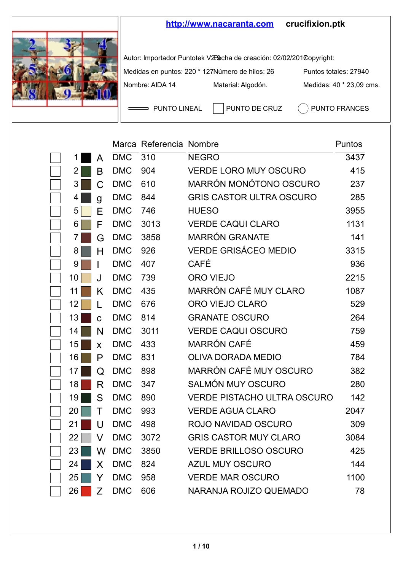

|    |    |            | Marca Referencia Nombre |                                    | Puntos |
|----|----|------------|-------------------------|------------------------------------|--------|
| 1  | A  | <b>DMC</b> | 310                     | <b>NEGRO</b>                       | 3437   |
| 2  | B  | <b>DMC</b> | 904                     | <b>VERDE LORO MUY OSCURO</b>       | 415    |
| 3  | C  | <b>DMC</b> | 610                     | MARRÓN MONÓTONO OSCURO             | 237    |
| 4  | g  | <b>DMC</b> | 844                     | <b>GRIS CASTOR ULTRA OSCURO</b>    | 285    |
| 5  | F  | <b>DMC</b> | 746                     | <b>HUESO</b>                       | 3955   |
| 6  | F  | <b>DMC</b> | 3013                    | <b>VERDE CAQUI CLARO</b>           | 1131   |
| 7  | G  | <b>DMC</b> | 3858                    | <b>MARRÓN GRANATE</b>              | 141    |
| 8  | Н  | <b>DMC</b> | 926                     | <b>VERDE GRISÁCEO MEDIO</b>        | 3315   |
| 9  |    | <b>DMC</b> | 407                     | CAFÉ                               | 936    |
| 10 | J. | <b>DMC</b> | 739                     | ORO VIEJO                          | 2215   |
| 11 | Κ  | <b>DMC</b> | 435                     | MARRÓN CAFÉ MUY CLARO              | 1087   |
| 12 | L  | <b>DMC</b> | 676                     | ORO VIEJO CLARO                    | 529    |
| 13 | Ć  | <b>DMC</b> | 814                     | <b>GRANATE OSCURO</b>              | 264    |
| 14 | N  | <b>DMC</b> | 3011                    | <b>VERDE CAQUI OSCURO</b>          | 759    |
| 15 | X  | <b>DMC</b> | 433                     | MARRÓN CAFÉ                        | 459    |
| 16 | P  | <b>DMC</b> | 831                     | OLIVA DORADA MEDIO                 | 784    |
| 17 | Q  | <b>DMC</b> | 898                     | MARRÓN CAFÉ MUY OSCURO             | 382    |
| 18 | R  | <b>DMC</b> | 347                     | SAI MÓN MUY OSCURO                 | 280    |
| 19 | S  | <b>DMC</b> | 890                     | <b>VERDE PISTACHO ULTRA OSCURO</b> | 142    |
| 20 | т  | <b>DMC</b> | 993                     | <b>VERDE AGUA CLARO</b>            | 2047   |
| 21 | U  | <b>DMC</b> | 498                     | ROJO NAVIDAD OSCURO                | 309    |
| 22 | v  | <b>DMC</b> | 3072                    | <b>GRIS CASTOR MUY CLARO</b>       | 3084   |
| 23 | W  | <b>DMC</b> | 3850                    | <b>VERDE BRILLOSO OSCURO</b>       | 425    |
| 24 | X  | <b>DMC</b> | 824                     | AZUL MUY OSCURO                    | 144    |
| 25 | Y  | <b>DMC</b> | 958                     | <b>VERDE MAR OSCURO</b>            | 1100   |
| 26 | Z  | <b>DMC</b> | 606                     | NARANJA ROJIZO QUEMADO             | 78     |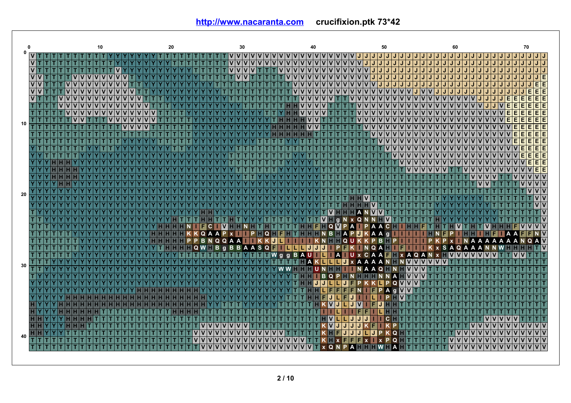**<http://www.nacaranta.com>crucifixion.ptk 73\*42**

|             |                      |  |  |               |                        | 10                      |              |              |              |  |  |  | 20 |  |             |   |              |                |              |   | 30          |    |              |              |               |                                                  |              |              |                |              | 40           |              |              |              |             |             |  |                                    |                    | 50       |            |                  |            |             |             |                       |    |                         | 60                      |       |                         |                         |                 |     |    |             |                |              |              | 70                |                           |
|-------------|----------------------|--|--|---------------|------------------------|-------------------------|--------------|--------------|--------------|--|--|--|----|--|-------------|---|--------------|----------------|--------------|---|-------------|----|--------------|--------------|---------------|--------------------------------------------------|--------------|--------------|----------------|--------------|--------------|--------------|--------------|--------------|-------------|-------------|--|------------------------------------|--------------------|----------|------------|------------------|------------|-------------|-------------|-----------------------|----|-------------------------|-------------------------|-------|-------------------------|-------------------------|-----------------|-----|----|-------------|----------------|--------------|--------------|-------------------|---------------------------|
| $\mathbf 0$ | $V$ T T T            |  |  |               |                        |                         |              |              |              |  |  |  |    |  |             |   |              |                |              |   |             |    |              |              |               |                                                  |              |              |                |              |              |              |              |              |             |             |  |                                    |                    |          |            |                  |            |             |             |                       |    |                         |                         |       |                         |                         |                 |     |    |             | IJ             | J            | $\mathbf{J}$ | IJ.               | ا ا ا                     |
|             | $\overline{V}$ T     |  |  |               |                        |                         |              |              |              |  |  |  |    |  |             |   |              |                |              |   | $\mathbf v$ |    | $\mathbf{v}$ | V            |               |                                                  |              | $\mathbf{v}$ | $\mathbf{v}$   | $\mathsf{v}$ | $\mathsf{v}$ | $\mathbf{v}$ | $\mathbf{v}$ |              |             |             |  | U U U U U V V V V V                |                    |          |            |                  | IJ         | IJ          |             | JJJJJ                 |    | IJ                      | IJ                      | IJ    | J                       | J                       | J               |     | IJ | J           | J              | J            |              |                   | JJ                        |
|             | $V$ <sup>T</sup> $T$ |  |  |               |                        |                         |              |              |              |  |  |  |    |  |             |   |              |                |              |   |             |    |              | т            |               | $\mathbf{v}$                                     | $\mathbf{v}$ |              | V <sub>1</sub> |              |              |              |              |              |             |             |  | ULLLLLLLLLLLLLUVVVVVVVVVV          |                    |          |            |                  |            |             |             |                       |    | IJ                      | IJ                      | IJ    | IJ                      | J                       | J               |     | J  | J           | J              |              |              |                   | J/J                       |
|             | v v                  |  |  | lv            | $\mathsf{I}\mathsf{v}$ | $\mathbf v$             | $\mathbf{v}$ | $\mathbf{v}$ | $\mathbf{v}$ |  |  |  |    |  |             |   |              |                |              |   |             |    |              |              |               |                                                  |              |              |                |              |              |              |              |              |             | V V V V     |  | lv                                 | JU                 |          | IJ         | IJ<br>IJ         | IJ         | IJ          | IJ          | IJ                    | IJ | J                       | J                       | J     |                         |                         |                 |     |    |             |                |              |              |                   | $\overline{\mathsf{J}}$ E |
|             | $\overline{v}$       |  |  |               |                        |                         |              |              |              |  |  |  |    |  |             |   |              |                |              |   |             |    |              |              |               |                                                  |              |              |                |              |              |              |              |              |             |             |  |                                    | IV   J   J   J   J |          |            |                  | IJ         | IJ          | IJ          | J J J                 |    | IJ                      | IJ                      | IJ    |                         |                         |                 |     |    |             |                |              |              |                   | E E                       |
|             | <u>VV</u>            |  |  |               |                        |                         |              |              |              |  |  |  |    |  |             |   |              |                |              |   |             |    |              |              |               |                                                  |              |              |                |              |              | $\mathsf{v}$ | $\mathsf{v}$ |              |             |             |  |                                    |                    |          |            |                  |            | <b>UVIV</b> |             | V V J J               |    | IJ                      | IJ                      | IJ    | IJ                      | J                       | J               |     |    |             |                |              |              | E                 | EE                        |
|             | <b>VT</b>            |  |  | <u>Iviviv</u> |                        | $\overline{\mathsf{v}}$ | $\mathbf{v}$ | $\mathbf{v}$ |              |  |  |  |    |  |             |   |              |                |              |   |             |    |              |              |               |                                                  |              |              |                |              |              | $\mathsf{v}$ | $\mathbf{v}$ |              |             |             |  |                                    |                    |          |            |                  |            |             |             | V V V V               |    |                         |                         | lv Iv |                         |                         |                 |     |    |             | E              | E            | F            | E                 | EE                        |
|             |                      |  |  | Iviviviviv    |                        |                         |              |              |              |  |  |  |    |  |             |   |              |                |              |   |             |    |              |              |               |                                                  |              |              |                |              |              |              |              |              |             |             |  |                                    |                    |          |            |                  |            |             |             |                       |    |                         |                         |       |                         |                         |                 |     |    |             | E              | E            |              |                   | E E                       |
|             | τI                   |  |  | ١v            | ١v                     |                         |              |              |              |  |  |  |    |  |             |   |              |                |              |   |             |    |              |              |               |                                                  |              |              |                |              |              |              |              |              |             |             |  |                                    |                    |          |            | IVIVIVIVIVIVIVIV |            |             |             |                       |    | $\overline{\mathsf{v}}$ |                         | V V   | $\mathbf v$             | $\mathbf v$             | <b>V</b>        |     |    |             | E              | Ē            |              |                   | EE                        |
| 10          |                      |  |  | lv            |                        |                         |              |              |              |  |  |  |    |  |             |   |              |                |              |   |             |    |              |              |               |                                                  |              |              |                |              |              | v            |              |              |             |             |  |                                    |                    |          |            |                  |            |             |             |                       |    | <u>Ivivi</u>            |                         | lv Iv | $\mathbf v$             | $\overline{\mathsf{v}}$ |                 | V V |    | lv          | E              | E            | E            | E                 | EE                        |
|             |                      |  |  |               |                        |                         |              |              |              |  |  |  |    |  |             |   |              |                |              |   |             |    |              |              |               |                                                  |              |              |                |              |              |              |              |              |             |             |  |                                    |                    |          |            |                  |            |             |             |                       |    |                         |                         |       |                         |                         |                 |     |    |             |                | F            | F            |                   | EE                        |
|             | TT                   |  |  |               |                        |                         |              |              |              |  |  |  |    |  |             |   |              |                |              |   |             |    |              |              |               |                                                  |              |              |                |              |              |              |              |              |             |             |  |                                    |                    |          |            |                  |            |             |             | <u> V V V V V V V</u> |    | ١v                      | $\overline{\mathsf{v}}$ | 'lv   | $\mathbf v$             | $\mathbf v$             | <b>V</b>        |     |    |             |                |              |              |                   | EE                        |
|             |                      |  |  |               |                        |                         |              |              |              |  |  |  |    |  |             |   |              |                |              |   |             |    |              |              |               |                                                  |              |              |                |              |              |              |              |              |             |             |  |                                    |                    |          |            |                  |            |             |             | v v v v v v v v v v   |    |                         |                         |       | $\overline{\mathsf{v}}$ |                         | <u>Iviviv</u>   |     |    | <b>VV</b>   |                | E            | E            | E                 | EE                        |
|             |                      |  |  |               |                        |                         |              |              |              |  |  |  |    |  |             |   |              |                |              |   |             |    |              |              |               |                                                  |              |              |                |              |              |              |              |              |             |             |  |                                    |                    |          |            |                  |            |             |             |                       |    |                         |                         |       | $\overline{\mathsf{v}}$ | $\overline{\mathsf{v}}$ | lv              |     |    |             |                |              |              | E                 | EE                        |
|             |                      |  |  |               |                        |                         |              |              |              |  |  |  |    |  |             |   |              |                |              |   |             |    |              |              |               |                                                  |              |              |                |              |              |              |              |              |             |             |  |                                    |                    |          |            |                  |            |             |             |                       | ١v |                         |                         |       |                         |                         |                 |     |    |             |                |              |              |                   | EE                        |
|             |                      |  |  |               |                        |                         |              |              |              |  |  |  |    |  |             |   |              |                |              |   |             |    |              |              |               |                                                  |              |              |                |              |              |              |              |              |             |             |  |                                    |                    |          |            |                  |            |             |             | <u> V V V V V V V</u> |    |                         |                         |       | $\mathbf v$             | $\mathbf v$             | <b>v</b>        |     | ΙV | $\mathbf v$ |                |              |              | E                 | EE                        |
|             |                      |  |  |               |                        |                         |              |              |              |  |  |  |    |  |             |   |              |                |              |   |             |    |              |              |               |                                                  |              |              |                |              |              |              |              |              |             |             |  |                                    |                    |          |            |                  |            |             |             |                       |    |                         |                         |       |                         |                         |                 |     |    |             |                |              |              |                   | EİE                       |
|             |                      |  |  |               |                        |                         |              |              |              |  |  |  |    |  |             |   |              |                |              |   |             |    |              |              |               |                                                  |              |              |                |              |              |              |              |              |             |             |  |                                    |                    |          |            |                  |            |             |             |                       |    |                         |                         |       |                         |                         |                 |     |    |             |                |              |              |                   | V                         |
|             | YYY                  |  |  |               |                        |                         |              |              |              |  |  |  |    |  |             |   |              |                |              |   |             |    |              |              |               |                                                  |              |              |                |              |              |              |              |              |             |             |  |                                    |                    |          |            |                  |            |             |             |                       |    |                         |                         |       |                         |                         |                 |     |    |             |                |              |              |                   | V                         |
| 20          |                      |  |  |               |                        |                         |              |              |              |  |  |  |    |  |             |   |              |                |              |   |             |    |              |              |               |                                                  |              |              |                |              |              |              |              |              |             |             |  |                                    |                    |          |            |                  |            |             |             |                       |    |                         |                         |       |                         |                         |                 |     |    |             |                |              |              |                   | vlv                       |
|             |                      |  |  |               |                        |                         |              |              |              |  |  |  |    |  |             |   |              |                |              |   |             |    |              |              |               |                                                  |              |              |                |              |              |              |              |              |             |             |  |                                    |                    |          |            |                  |            |             |             |                       |    |                         |                         |       |                         |                         |                 |     |    |             |                |              |              |                   | vlv                       |
|             | V٧                   |  |  |               |                        |                         |              |              |              |  |  |  |    |  |             |   |              |                |              |   |             |    |              |              |               |                                                  |              |              |                |              |              |              |              |              |             |             |  |                                    |                    |          |            |                  |            |             |             |                       |    |                         |                         |       |                         |                         |                 |     |    |             |                |              |              |                   | $V$ $V$                   |
|             |                      |  |  |               |                        |                         |              |              |              |  |  |  |    |  |             |   |              |                |              |   |             |    |              |              |               |                                                  |              |              |                |              |              |              |              |              |             |             |  |                                    |                    |          |            |                  |            |             |             |                       |    |                         |                         |       |                         |                         |                 |     |    |             |                |              |              |                   | T                         |
|             |                      |  |  |               |                        |                         |              |              |              |  |  |  |    |  |             |   |              |                |              |   |             |    |              |              |               |                                                  |              |              |                |              |              | TVI          |              |              | a           |             |  | N X Q N N                          |                    |          |            |                  |            |             |             |                       |    |                         |                         |       |                         |                         |                 |     |    |             |                |              |              |                   | lv                        |
|             |                      |  |  |               |                        |                         |              |              |              |  |  |  |    |  |             | F | C.           |                | $\mathsf{v}$ |   |             |    |              |              |               |                                                  |              |              |                | н            |              |              |              |              |             | HFINQ WPA   |  | $\blacksquare$ PAAC $\blacksquare$ |                    |          |            |                  |            |             |             |                       |    |                         |                         |       |                         |                         | $\mathbf v$     |     |    |             |                |              |              | v                 | v v                       |
|             |                      |  |  |               |                        |                         |              |              |              |  |  |  |    |  | <b>KQAA</b> |   |              |                | P            |   |             | P. |              |              |               | $\blacksquare$ Q $\blacksquare$ F $\blacksquare$ | н            |              |                |              |              |              |              |              |             |             |  | <b>HHHNBHAPMKAA</b>                |                    |          | n          |                  |            |             |             |                       |    |                         |                         |       |                         |                         |                 |     |    |             |                |              |              |                   | <b>NV</b>                 |
|             |                      |  |  |               |                        |                         |              |              |              |  |  |  |    |  |             | B | <b>NQQAA</b> |                |              |   |             |    |              |              | ккп           |                                                  |              |              |                |              |              |              |              |              |             | <b>HHQU</b> |  |                                    | <b>PB</b>          |          |            |                  |            |             |             |                       |    |                         |                         |       |                         | A                       | A               |     | A  | A           | $\overline{A}$ |              |              | Q                 | A V                       |
|             |                      |  |  |               |                        |                         |              |              |              |  |  |  |    |  | $\Omega$    | W |              | B <sub>g</sub> |              | B |             |    |              |              | <b>BAASQE</b> |                                                  |              |              |                |              |              | LLJJJ PF     |              |              |             |             |  | $N$ Q A                            |                    |          |            |                  |            |             |             |                       | S  |                         |                         | A Q A | A                       |                         |                 |     |    |             |                |              |              |                   | $T$ V                     |
|             |                      |  |  |               |                        |                         |              |              |              |  |  |  |    |  |             |   |              |                |              |   |             |    |              |              |               | I W g g B A U I I                                |              |              |                |              |              |              |              |              | <b>II</b> A |             |  | UXCAA                              |                    |          |            |                  | <b>x</b> A |             | $Q$ A       |                       |    |                         |                         |       |                         |                         |                 |     |    |             |                |              |              |                   |                           |
| 30          |                      |  |  |               |                        |                         |              |              |              |  |  |  |    |  |             |   |              |                |              |   |             |    |              |              |               |                                                  |              |              |                |              | A            |              |              |              |             | Jx          |  |                                    |                    |          |            |                  |            |             | <b>VVVV</b> |                       |    |                         |                         |       |                         |                         |                 |     |    |             |                |              |              |                   |                           |
|             |                      |  |  |               |                        |                         |              |              |              |  |  |  |    |  |             |   |              |                |              |   |             |    |              |              |               |                                                  |              |              |                |              |              | UN.          |              |              |             |             |  | <b>NAA</b>                         |                    | $\Omega$ |            |                  |            |             |             |                       |    |                         |                         |       |                         |                         |                 |     |    |             |                |              |              |                   |                           |
|             | П                    |  |  |               |                        |                         |              |              |              |  |  |  |    |  |             |   |              |                |              |   |             |    |              |              |               |                                                  |              |              |                |              |              |              | в            |              |             |             |  | <b>OPHNHH</b>                      |                    |          | <b>NNA</b> |                  |            |             |             |                       |    |                         |                         |       |                         |                         |                 |     |    |             |                |              |              |                   |                           |
|             |                      |  |  |               |                        |                         |              |              |              |  |  |  |    |  |             |   |              |                |              |   |             |    |              |              |               |                                                  |              |              |                |              |              |              |              |              |             |             |  |                                    |                    |          |            | $\Omega$         |            |             |             |                       |    |                         |                         |       |                         |                         |                 |     |    |             |                |              |              |                   |                           |
|             |                      |  |  |               |                        |                         |              |              |              |  |  |  |    |  |             |   |              |                |              |   |             |    |              |              |               |                                                  |              |              |                |              |              |              |              |              |             |             |  |                                    |                    |          | A          |                  |            |             |             |                       |    |                         |                         |       |                         |                         |                 |     |    |             |                |              |              |                   |                           |
|             |                      |  |  |               |                        |                         |              |              |              |  |  |  |    |  |             |   |              |                |              |   |             |    |              |              |               |                                                  |              |              |                |              |              |              |              |              |             |             |  |                                    |                    |          |            |                  |            |             |             |                       |    |                         |                         |       |                         |                         |                 |     |    |             |                |              |              |                   | TIT                       |
|             |                      |  |  |               |                        |                         |              |              |              |  |  |  |    |  |             |   |              |                |              |   |             |    |              |              |               |                                                  |              |              |                |              |              |              |              | $\mathsf{v}$ |             |             |  |                                    |                    |          |            |                  |            |             |             |                       |    |                         |                         |       |                         |                         |                 |     |    |             |                |              |              |                   |                           |
|             | HIY                  |  |  |               |                        |                         |              |              |              |  |  |  |    |  |             |   |              |                |              |   |             |    |              |              |               |                                                  |              |              |                |              |              |              |              |              |             |             |  |                                    |                    |          |            |                  |            |             |             |                       |    |                         |                         |       |                         |                         |                 |     |    |             |                |              |              |                   |                           |
|             |                      |  |  |               |                        |                         |              |              |              |  |  |  |    |  |             |   |              |                |              |   |             |    |              |              |               |                                                  |              |              |                |              |              |              |              | $\mathsf{v}$ |             |             |  | IJ                                 |                    |          |            |                  |            |             |             |                       |    |                         |                         |       |                         |                         |                 |     |    |             |                |              |              |                   |                           |
|             |                      |  |  |               |                        |                         |              |              |              |  |  |  |    |  |             |   |              |                |              |   |             |    |              |              |               |                                                  |              |              |                |              |              |              |              | VJ           |             |             |  |                                    |                    |          |            |                  |            |             |             |                       |    |                         |                         |       |                         |                         |                 |     |    |             |                | $\mathbf{v}$ | $\mathbf{v}$ | $\mathbf{v}$      | v v                       |
| 40          |                      |  |  |               |                        |                         |              |              |              |  |  |  |    |  |             |   |              |                |              |   |             |    |              |              |               |                                                  |              |              |                |              |              |              |              |              |             |             |  |                                    |                    |          |            |                  |            |             |             |                       |    |                         |                         |       |                         |                         |                 |     |    |             |                |              |              |                   | $\overline{v}$            |
|             |                      |  |  |               |                        |                         |              |              |              |  |  |  |    |  |             |   |              |                |              |   |             |    | ۷            | v            | v             | v                                                | v            |              |                |              |              |              |              |              |             |             |  |                                    |                    |          |            | Q                |            |             |             |                       |    |                         |                         |       |                         |                         | <u>VVVVVVVV</u> |     |    |             |                |              |              |                   | V                         |
|             |                      |  |  |               |                        |                         |              |              |              |  |  |  |    |  |             |   |              |                |              |   | V           | V  | $\mathbf{v}$ | $\mathbf{v}$ | $\mathbf{v}$  | $\mathbf{v}$                                     | $\mathbf{v}$ |              |                |              |              |              |              |              |             |             |  | <b>XQNPATTIN</b>                   |                    |          |            | A                |            |             |             |                       |    |                         |                         | viviv |                         |                         |                 |     |    |             |                |              |              | V V V V V V V V V | ∣v∣v                      |
|             |                      |  |  |               |                        |                         |              |              |              |  |  |  |    |  |             |   |              |                |              |   |             |    |              |              |               |                                                  |              |              |                |              |              |              |              |              |             |             |  |                                    |                    |          |            |                  |            |             |             |                       |    |                         |                         |       |                         |                         |                 |     |    |             |                |              |              |                   |                           |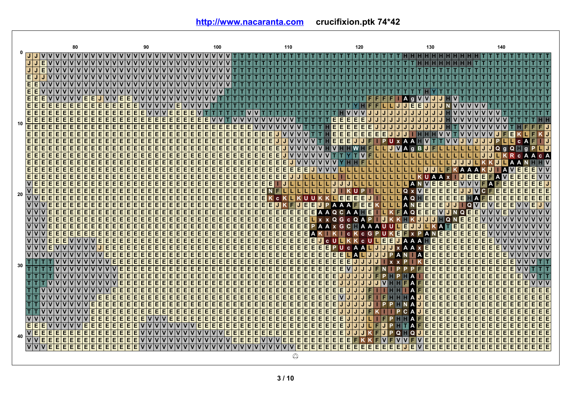|    | 80                                                        | 90                                        | 100                                                                                        | 110                                                      | 120                                  | 130                                                   | 140                                          |
|----|-----------------------------------------------------------|-------------------------------------------|--------------------------------------------------------------------------------------------|----------------------------------------------------------|--------------------------------------|-------------------------------------------------------|----------------------------------------------|
|    | <u>VIVIVIVI</u><br>$\mathbf v$                            |                                           | $\mathbf v$                                                                                |                                                          |                                      |                                                       |                                              |
|    | E                                                         |                                           |                                                                                            |                                                          |                                      |                                                       |                                              |
|    | E                                                         |                                           |                                                                                            |                                                          |                                      |                                                       |                                              |
|    | E.                                                        |                                           |                                                                                            |                                                          |                                      |                                                       |                                              |
|    | E.                                                        |                                           |                                                                                            |                                                          |                                      |                                                       |                                              |
|    | E                                                         |                                           |                                                                                            |                                                          |                                      |                                                       |                                              |
|    | E.<br>Е<br>Е                                              |                                           |                                                                                            |                                                          |                                      |                                                       |                                              |
|    | E<br>Е<br>Е<br>E                                          | Е                                         |                                                                                            |                                                          |                                      | Е<br>Е                                                |                                              |
|    | E<br>E<br>Е                                               | E<br>E<br>E<br>Е<br>E                     |                                                                                            |                                                          |                                      |                                                       |                                              |
|    | Е<br>Е<br>E<br>E<br>Е<br>Е<br>E.<br>Е                     | E<br>E<br>E<br>Е<br>Е<br>Е<br>Е<br>Е<br>Е | E<br>Е                                                                                     |                                                          | Е<br>Е<br>Е<br>E<br>F                |                                                       |                                              |
| 10 | E<br>Е                                                    |                                           | Ē<br>Ē<br>E<br>E                                                                           |                                                          | E<br>г                               |                                                       | 1J                                           |
|    | E<br>E<br>F<br>F                                          | E<br>E<br>E<br>E<br>E<br>E<br>E<br>E<br>E | E<br>E<br>E<br>E<br>E<br>E<br>E<br>E<br>E                                                  | E.<br>E.                                                 | E<br>E<br>E<br>Е<br>Е<br>Е<br>Е<br>F |                                                       | IJ                                           |
|    | E<br>Е<br>Е                                               | E<br>Е<br>E<br>E<br>E<br>E<br>Е<br>Е<br>Е | E<br>Ε<br>Е<br>Ε<br>E<br>E<br>E<br>E<br>E                                                  | E<br>E                                                   | E<br>E<br>Е                          |                                                       | IJ                                           |
|    | E<br>E<br>E                                               | E<br>E<br>E<br>E<br>E<br>E<br>E<br>E<br>E | E<br>E<br>E<br>E<br>E<br>E<br>E<br>E<br>E                                                  | E<br>E<br>Ē                                              |                                      |                                                       |                                              |
|    |                                                           | F                                         |                                                                                            |                                                          |                                      |                                                       |                                              |
|    | E.<br>F<br>E                                              | E<br>E<br>E<br>E<br>E<br>E<br>E<br>E      | E<br>E<br>E.<br>E<br>EI<br>E<br>E.<br>E<br>E                                               | E<br>E.<br>Ē                                             |                                      |                                                       | c A<br>c                                     |
|    | E<br>E<br>E                                               | E<br>E<br>E<br>E<br>E<br>E<br>E           | E<br>E<br>E<br>E<br>E<br>E<br>E<br>E<br>E                                                  | E<br>E                                                   |                                      |                                                       | ١v                                           |
|    | E<br>F                                                    | E<br>E<br>E<br>E<br>E<br>E<br>F<br>Е      | E<br>E<br>E<br>E<br>E<br>E<br>E<br>E<br>E                                                  | E<br>E<br>F                                              |                                      |                                                       | vlv                                          |
|    | E.<br>Е<br>Е                                              | E<br>E<br>E<br>F<br>F<br>E<br>F<br>Е      | E<br>E<br>E<br>E<br>E<br>E<br>E.<br>E.<br>Е                                                | E.<br>E.<br>Е                                            |                                      |                                                       | E.                                           |
|    | Е                                                         | E<br>E<br>E<br>Е                          | E<br>E<br>Е<br>E.<br>E<br>E<br>E.<br>E.<br>E                                               | E.                                                       |                                      | E<br>E.<br>Е<br>E                                     |                                              |
| 20 | $\overline{\mathsf{V}}$ E<br>E<br>E<br>E                  | E<br>E<br>E<br>E<br>E<br>E<br>E<br>E<br>E | E<br>E<br>E<br>E<br>E<br>E<br>E.<br>E.<br>E                                                | E                                                        |                                      | $\overline{\mathsf{v}}$<br>E<br>E<br>E<br>E<br>E<br>۵ | EE<br>F<br>F                                 |
|    | $\overline{\mathsf{v}}$<br>E                              | E<br>E<br>E                               | E<br>E<br>E.<br>E.<br>E<br>E<br>E.<br>E<br>E                                               | Е                                                        | Е<br>Е<br>Е<br>Е                     | АΟ<br>Е<br>E<br>E<br>E<br>E<br>E.                     | EE                                           |
|    | $\overline{\mathsf{v}}$<br>г                              | E<br>E<br>Е<br>Е<br>Е<br>Е<br>Е<br>Е      | E<br>E<br>E<br>E<br>E<br>E<br>E<br>E<br>E                                                  | Е<br>F                                                   | Е                                    | E<br>E<br>E<br>E<br>A<br>O                            | $\mathsf{I}\mathsf{v}$<br>Е<br>E.<br>F       |
|    | ١v<br>F                                                   | E<br>Е<br>Е<br>F<br>F<br>E<br>E<br>E<br>E | E<br>E<br>E<br>E<br>E<br>E<br>E.<br>E.<br>E                                                | E<br>E<br>F                                              | Е                                    | A<br>E<br>E<br>E<br>Ē<br>Ω                            | V V<br>E.<br>F.                              |
|    | ١v<br>E<br>E                                              | Έ<br>E<br>E<br>E<br>E<br>E<br>F<br>F<br>E | $\overline{\mathsf{E}}$<br>E<br>$\overline{E}$<br>$\overline{E}$<br>E<br>E<br>E<br>E.<br>E | E.<br>E.                                                 | c.                                   | n                                                     | vlv                                          |
|    | <b>V</b><br>E.<br>F<br>Е<br>F<br>F                        | E<br>E<br>E<br>E<br>Е<br>Е<br>Е<br>Е<br>Е | E<br>E<br>E<br>E<br>E<br>E<br>E<br>E<br>E                                                  | Е<br>E.<br>F<br>F<br>F<br>A<br>A                         | G<br><b>C</b><br>ш<br>А<br>A         | E<br>Ē<br>E<br>E                                      | E<br>vlv<br>E                                |
|    | <b>v</b><br>E.<br>E<br>F                                  | E<br>E<br>E<br>E<br>E<br>E<br>E<br>E<br>E | E<br>E<br>E<br>E<br>E<br>E<br>E<br>E<br>E                                                  | E<br>Е<br>E                                              | G<br>c                               | E<br>E<br>E<br>E<br>E                                 | E<br>vlv<br>Е                                |
|    | EI<br>E<br>Е<br>Е<br>Е                                    | E<br>E<br>E<br>E<br>E<br>Е<br>Е<br>Е<br>Е | E<br>E<br>E<br>E<br>E<br>E<br>E<br>E<br>E                                                  | E<br>E.<br>Е<br>Е<br>Е<br>Е<br><b>C</b>                  | с                                    | E<br>E<br>E<br>E<br>Ē<br>Е<br>E                       | E<br>vlv                                     |
|    | E.<br>Е<br>Е                                              | E<br>E<br>E<br>E<br>Е<br>Е<br>Е<br>Е<br>Е | E<br>E<br>E<br>E<br>E<br>E<br>E<br>E.<br>E                                                 | E.<br>E.<br>E<br>F<br>Е<br>Е<br>Е                        | U<br>c.                              | Е<br>E<br>E<br>E<br>E.<br>E<br>E                      | vlv<br>E.<br>E<br>Е                          |
|    | $\mathbf v$<br>E<br>E<br>E                                | E<br>Е<br>E<br>E<br>E<br>E<br>E<br>E<br>E | Ε<br>E<br>Ε<br>Ε<br>E<br>E<br>E<br>E<br>E                                                  | E<br>E                                                   | Е<br>Е                               | E<br>Ē<br>E<br>E<br>E                                 | vlv                                          |
|    | Е<br>E<br>۰                                               | E<br>E<br>E<br>E<br>E<br>E<br>E<br>E<br>Е | E<br>E<br>E<br>E<br>E<br>E<br>E<br>E<br>E                                                  | E<br>E.<br>F                                             | Е<br>Е<br>Е                          | E<br>F<br>E<br>E<br>E                                 |                                              |
| 30 | E<br>Е                                                    | F<br>E<br>E<br>E<br>E<br>E<br>E<br>E<br>F | E<br>E<br>E<br>E<br>E<br>E<br>E.<br>E.<br>Е                                                | E.<br>E<br>F                                             | F                                    | Ē<br>E<br>E<br>F<br>E.<br>E<br>E                      |                                              |
|    | Е<br>Е                                                    | E<br>E<br>E<br>E<br>E<br>Е<br>Е<br>Е<br>E | E<br>E<br>E<br>E<br>E<br>E<br>E<br>E<br>E                                                  | Е<br>E                                                   |                                      | E<br>E<br>E<br>E<br>E<br>A                            |                                              |
|    | E<br>Е                                                    | E<br>E<br>E<br>E<br>E<br>E<br>E<br>E<br>Е | E<br>E<br>E<br>E<br>E<br>E<br>Е<br>E.<br>Е                                                 | E.<br>Е                                                  |                                      | E<br>E<br>E<br>E<br>E.                                |                                              |
|    | Е<br>Е                                                    | E<br>E<br>E<br>Е                          | Ē<br>E<br>E<br>E<br>E<br>E<br>E<br>E<br>E                                                  |                                                          | г                                    | E<br>Ē<br>F<br>F                                      | E E.                                         |
|    | Е<br>E                                                    | E<br>E<br>E<br>E<br>E<br>Е<br>Е           | E<br>E<br>E<br>E<br>E<br>E<br>E<br>E<br>E                                                  | E<br>Е                                                   |                                      | E<br>E<br>E<br>E<br>E<br>J                            | E E                                          |
|    | Е<br>Е<br>Е<br>Е<br>E.                                    | E<br>E<br>E<br>Е<br>Е<br>Е<br>Е<br>Е<br>Е | E<br>E<br>E<br>E<br>E<br>E<br>E.<br>E.<br>Е                                                | E.<br>Е<br>F<br>F                                        |                                      | Е<br>E<br>E<br>E.<br>E.                               | EIE                                          |
|    | Е<br>F                                                    | E                                         | E<br>E<br>Ē<br>E<br>E<br>E<br>E                                                            |                                                          |                                      | E<br>E<br>E<br>F                                      | E E                                          |
|    |                                                           | E<br>E<br>E<br>E<br>F                     | E<br>E                                                                                     |                                                          |                                      | E<br>E<br>E<br>E                                      | E E.                                         |
|    | Е<br>Е                                                    | Е                                         | E<br>E<br>E<br>E<br>E.<br>E<br>E                                                           | E.<br>Е                                                  |                                      | E<br>E<br>E                                           |                                              |
|    | E<br>E<br>E<br>E<br>Е<br>Е                                | E                                         | E<br>E<br>E<br>E<br>E<br>E<br>E<br>E<br>E                                                  | E<br>E<br>E<br>Е<br>E.<br>Е                              | F                                    | E<br>E<br>E<br>E<br>E<br>Ē<br>Ē                       | EE<br>E                                      |
| 40 | VE<br>Е<br>E.<br>F                                        |                                           | Ē<br>E<br>E<br>Ē<br>E                                                                      | E<br>E                                                   |                                      | E<br>E<br>E<br>E<br>E<br>۵<br>Q<br>J                  | EE                                           |
|    | VVEE<br>E<br>E<br>E<br>E<br>E<br>E<br>E<br>Е<br>E.<br>Е   | E                                         | $V$ E<br><b>FEEE</b><br>v                                                                  | E<br>Е<br>E<br>IE.<br>IE.<br>E<br>E<br>V<br>$\mathbf{v}$ | E<br>E<br>E<br>F                     | E<br>Е<br>E<br>E<br>E<br>E<br>E<br>v                  | E E<br>E<br>EI<br>E<br>Е<br>Е<br>Е<br>Е<br>E |
|    | v v<br>E.<br>F.<br>E<br>E<br>F<br>F<br>F.<br>F<br>F.<br>F | F                                         |                                                                                            | <b>VIVIVE</b><br>E<br>E<br>E.<br>E                       | E<br>E<br>E<br>E<br>E<br>E<br>E<br>Е | E.<br>E<br>E<br>E<br>E<br>E<br>E<br>E.<br>E<br>Е      | EIE<br>E<br>Е<br>E<br>EI<br>EIE<br>IE.       |
|    |                                                           |                                           |                                                                                            |                                                          |                                      |                                                       |                                              |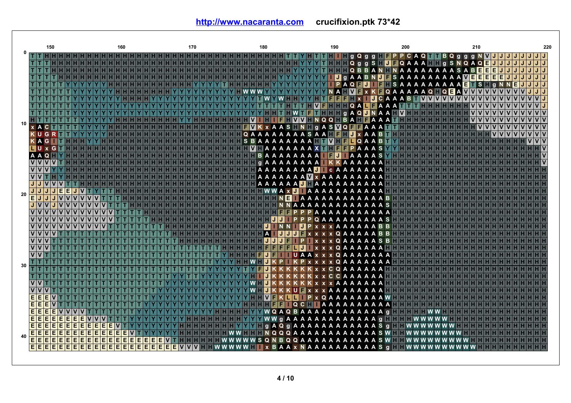|    |                                                    | 150      |            |   |                |           |   |     |   | 160 |   |   |   |   |   |   |   | 170                           |  |               |          |             | 180 |          |                 |  |                        |  |                                                          | 190 |     |            |       |     |             |     |     | 200 |               |  |                       |   |      |                  | 210          |   |    |          |                   |   |   |                | 220 |
|----|----------------------------------------------------|----------|------------|---|----------------|-----------|---|-----|---|-----|---|---|---|---|---|---|---|-------------------------------|--|---------------|----------|-------------|-----|----------|-----------------|--|------------------------|--|----------------------------------------------------------|-----|-----|------------|-------|-----|-------------|-----|-----|-----|---------------|--|-----------------------|---|------|------------------|--------------|---|----|----------|-------------------|---|---|----------------|-----|
|    |                                                    |          |            |   |                |           |   |     |   |     |   |   |   |   |   |   |   | H H H H H H H H H H H H H H H |  |               |          |             |     |          |                 |  |                        |  | YHTTHII gQgg HFPP CAQTTBQggg                             |     |     |            |       |     |             |     |     |     |               |  |                       |   |      |                  |              |   |    |          |                   |   | J | J/J            |     |
|    |                                                    |          |            |   |                |           |   |     |   |     |   |   |   |   |   |   |   |                               |  |               |          |             |     |          |                 |  |                        |  | YYTHHIQ g g S H <mark>J F Q A A A H H</mark> g S N Q A Q |     |     |            |       |     |             |     |     |     |               |  |                       |   |      |                  |              |   | E. | J        |                   |   | J | JJ             |     |
|    |                                                    |          |            |   |                |           |   |     |   |     |   |   |   |   |   |   |   |                               |  |               |          |             |     |          |                 |  |                        |  | YYYY THIII Q B B A N II N A A A A A A A A S A B E E      |     |     |            |       |     |             |     |     |     |               |  |                       |   |      | <b>A A VEEEE</b> |              |   |    | E        | J<br>E            |   | J | J/J<br>JJ      |     |
|    |                                                    |          |            |   |                |           |   |     |   |     |   |   |   |   |   |   |   |                               |  |               |          |             |     |          |                 |  |                        |  | <b>YYIJ</b> g A A B N J F S A A A A A A                  |     | P A | $\Omega$   | IFIJ. |     |             | IF. |     |     | <b>SAAAAA</b> |  | A                     | A |      | E                |              | s |    | $\alpha$ |                   | E |   |                |     |
|    |                                                    |          |            |   |                |           |   |     |   |     |   |   |   |   |   |   |   |                               |  |               |          |             |     |          |                 |  |                        |  |                                                          |     | AIH | IV F       |       | l x |             |     |     |     |               |  | KFQAAAAAQFQ           |   | 6 FI | <b>VV</b>        |              |   |    |          |                   |   |   |                |     |
|    |                                                    |          |            |   |                |           |   |     |   |     |   |   |   |   |   |   |   |                               |  |               |          |             |     |          |                 |  |                        |  | T F F F F I X T                                          |     |     |            |       |     | $U C A A B$ |     |     |     |               |  | <u>IVIVIVIVIVIVIV</u> |   |      |                  |              |   |    |          |                   |   |   | V <sub>1</sub> |     |
|    |                                                    |          |            |   |                |           |   |     |   |     |   |   |   |   |   |   |   |                               |  |               |          |             |     |          |                 |  |                        |  | THVFHHHQALFAAA                                           |     |     |            |       |     |             |     |     |     |               |  | нннн                  |   |      |                  |              |   |    |          |                   |   |   |                |     |
|    |                                                    |          |            |   |                |           |   |     |   |     |   |   |   |   |   |   |   |                               |  |               |          |             |     |          |                 |  |                        |  | TFTHHFGAQUNAAHVHF                                        |     |     |            |       |     |             |     |     |     |               |  |                       |   |      | $\mathbf{V}$     |              |   |    |          |                   |   |   | $V$ $V$        |     |
| 10 |                                                    |          |            |   |                |           |   |     |   |     |   |   |   |   |   |   |   |                               |  |               |          | HHVIH       |     |          |                 |  |                        |  | IFFWYFNQQHBAHFAAA                                        |     |     |            |       |     |             |     |     |     |               |  |                       |   |      |                  | $\mathbf{v}$ |   |    |          | Iv<br>$\mathbf v$ |   |   | V              |     |
|    | A C                                                |          |            |   |                |           |   |     |   |     |   |   |   |   |   |   |   |                               |  |               |          | $\mathbf v$ |     |          |                 |  |                        |  | K x A A S <b>N N H</b> q A S <b>M Q H H</b> A A A        |     |     |            |       |     |             |     |     |     |               |  |                       |   |      |                  |              |   |    |          |                   |   |   |                |     |
|    | $K \cup G$                                         |          |            |   |                |           |   |     |   |     |   |   |   |   |   |   |   |                               |  |               |          | Q A A       | A   | A        | A               |  |                        |  | AAASAA <b>HEHM</b> x AAB <b>H</b> I                      |     |     |            |       |     |             |     |     |     |               |  |                       |   |      |                  |              |   |    |          |                   |   |   | $V$ $V$        |     |
|    | AG                                                 |          |            |   |                |           |   |     |   |     |   |   |   |   |   |   |   |                               |  | HHHH          |          | <b>SBAA</b> |     |          |                 |  |                        |  | AAAHT <b>MHFLQAAB</b>                                    |     |     |            |       |     |             |     |     |     |               |  |                       |   |      |                  |              |   |    |          |                   |   |   | VIV            |     |
|    | $ U \times G $                                     |          |            |   |                |           |   |     |   |     |   |   |   |   |   |   |   |                               |  |               |          |             |     |          |                 |  |                        |  | HHHHHHHVHAAAAAAAXTHFFPAAAS                               |     |     |            |       |     |             |     |     |     |               |  |                       |   |      |                  |              |   |    |          |                   |   |   |                |     |
|    | <b>AAQHYH</b>                                      |          |            |   |                |           |   |     |   |     |   |   |   |   |   |   |   |                               |  |               |          |             |     |          |                 |  |                        |  | H H H H H H H B A A A A A A A A I <b>E J</b> I A A A A S |     |     |            |       |     |             |     |     |     |               |  |                       |   |      |                  |              |   |    |          |                   |   |   | ١v             |     |
|    | $\overline{\mathsf{v}}$<br>VVV                     | ١v       |            |   |                |           |   |     |   |     |   |   |   |   |   |   |   |                               |  | <b>HHHHHH</b> |          |             |     |          |                 |  |                        |  | <b>GAAAAAAAA</b> KKAAA                                   |     |     |            |       |     | A A         |     |     |     |               |  |                       |   |      |                  |              |   |    |          |                   |   |   | ١v             |     |
|    | $\overline{\mathsf{v}}$                            |          |            |   |                |           |   |     |   |     |   |   |   |   |   |   |   |                               |  |               |          |             |     |          |                 |  |                        |  | HHHHHHAAAAAAAADII CAAAAAAA                               |     |     |            |       |     |             |     |     |     |               |  |                       |   |      |                  |              |   |    |          |                   |   |   |                |     |
|    | J<br>$J$ $V$                                       |          |            |   |                |           |   |     |   |     |   |   |   |   |   |   |   |                               |  |               | нінініні |             |     |          |                 |  |                        |  | AAAAAAA W x AAAAAAAAA<br>AAAAAA IIAAAAAAAAAA             |     |     |            |       |     |             |     |     |     |               |  |                       |   |      |                  |              |   |    |          |                   |   |   |                |     |
|    |                                                    |          | E          | E |                |           |   |     |   |     |   |   |   |   |   |   |   |                               |  |               |          |             |     |          |                 |  |                        |  | <b>HHHWWAX J AAAAAAAAAA</b>                              |     |     |            |       |     |             |     |     |     |               |  |                       |   |      |                  |              |   |    |          |                   |   |   |                |     |
| 20 | Ē<br>J                                             |          |            |   |                |           |   |     |   |     |   |   |   |   |   |   |   |                               |  |               |          |             |     |          |                 |  |                        |  | <b>HEEHEEHEEN ETAAAAAAAAAA</b>                           |     |     |            |       |     |             |     | √Ë⊁ |     |               |  |                       |   |      |                  |              |   |    |          |                   |   |   |                |     |
|    | $J$ $V$                                            |          |            |   |                |           |   |     |   |     |   |   |   |   |   |   |   |                               |  |               |          |             |     |          |                 |  |                        |  | <b>TNNAAAAAAAAAAAAAS</b>                                 |     |     |            |       |     |             |     |     |     |               |  |                       |   |      |                  |              |   |    |          |                   |   |   |                |     |
|    |                                                    |          |            |   |                |           |   |     |   |     |   |   |   |   |   |   |   |                               |  |               |          |             |     |          | HI F I          |  | $HP P A A$             |  |                                                          |     |     |            |       |     |             |     |     |     |               |  |                       |   |      |                  |              |   |    |          |                   |   |   |                |     |
|    | $\overline{\mathsf{v}}$                            |          |            |   |                |           |   |     |   |     |   |   |   |   |   |   |   |                               |  |               |          |             |     |          |                 |  |                        |  | <b>PPPOAA</b>                                            |     |     |            |       |     | A A A       |     | S   |     |               |  |                       |   |      |                  |              |   |    |          |                   |   |   |                |     |
|    | <b>VVVV</b>                                        |          |            |   |                |           |   |     |   |     |   |   |   |   |   |   |   |                               |  |               |          |             |     | JI       |                 |  |                        |  | NN UPXXXAAAAAABB                                         |     |     |            |       |     |             |     |     |     |               |  |                       |   |      |                  |              |   |    |          |                   |   |   |                |     |
|    | $\overline{\mathsf{v}}$                            | ١v<br>١v |            |   |                |           |   |     |   |     |   |   |   |   |   |   |   |                               |  |               |          |             | A   |          | <b>IJJJFXXX</b> |  |                        |  |                                                          |     |     | <b>QAA</b> |       |     | <b>AABB</b> |     |     |     |               |  |                       |   |      |                  |              |   |    |          |                   |   |   |                |     |
|    | $\mathbf v$                                        |          |            |   |                |           |   |     |   |     |   |   |   |   |   |   |   |                               |  |               |          |             |     |          | JJJFI           |  | IP I                   |  | <b>EXXXQAAAAASB</b>                                      |     |     |            |       |     |             |     |     |     |               |  |                       |   |      |                  |              |   |    |          |                   |   |   |                |     |
|    | VV                                                 |          |            |   |                |           |   |     |   |     |   |   |   |   |   |   |   |                               |  |               |          |             |     |          |                 |  |                        |  | FFFFLUIxxxQAAAAAF                                        |     |     |            |       |     |             |     |     |     |               |  |                       |   |      |                  |              |   |    |          |                   |   |   |                |     |
|    | $\overline{\mathsf{v}}$<br>$\overline{\mathsf{v}}$ |          |            |   |                |           |   |     |   |     |   |   |   |   |   |   |   |                               |  |               |          |             | FI  | JIFI     |                 |  |                        |  | <b>UAAxxxQAA</b>                                         |     |     |            |       |     | A A A A     |     |     |     |               |  |                       |   |      |                  |              |   |    |          |                   |   |   |                |     |
| 30 |                                                    |          |            |   |                |           |   |     |   |     |   |   |   |   |   |   |   |                               |  |               |          |             |     |          | P.              |  |                        |  | KP x x x x Q A A                                         |     |     |            | A     |     | A A A       |     |     |     |               |  |                       |   |      |                  |              |   |    |          |                   |   |   |                |     |
|    |                                                    |          |            |   |                |           |   |     |   |     |   |   |   |   |   |   |   |                               |  |               |          |             |     |          |                 |  |                        |  |                                                          | c o |     |            |       |     |             |     |     |     |               |  |                       |   |      |                  |              |   |    |          |                   |   |   |                |     |
|    |                                                    |          |            |   |                |           |   |     |   |     |   |   |   |   |   |   |   |                               |  |               |          |             |     |          |                 |  |                        |  |                                                          | C C |     |            |       |     | A A         |     |     |     |               |  |                       |   |      |                  |              |   |    |          |                   |   |   |                |     |
|    | $\overline{\mathsf{v}}$                            |          |            |   |                |           |   |     |   |     |   |   |   |   |   |   |   |                               |  |               |          |             |     |          |                 |  |                        |  | <b>KxxxAAAAAAA</b>                                       |     |     |            |       |     |             |     |     |     |               |  |                       |   |      |                  |              |   |    |          |                   |   |   |                |     |
|    | E<br>E                                             | Е        |            |   |                |           |   |     |   |     |   |   |   |   |   |   |   |                               |  |               |          |             |     | v۱<br>FI |                 |  | $U$ $\mathbb{R}$ x x x |  | <b>HILIP</b> X Q A A                                     |     |     |            |       |     | A A         |     |     |     |               |  |                       |   |      |                  |              |   |    |          |                   |   |   |                |     |
|    | Е<br>E                                             | E        |            |   |                |           |   |     |   |     |   |   |   |   |   |   |   |                               |  |               |          |             |     |          |                 |  |                        |  | <b>THE QCHI AAAAAAAAA</b>                                |     |     |            |       |     | A A W       |     |     |     |               |  |                       |   |      |                  |              |   |    |          |                   |   |   |                |     |
|    | E                                                  |          | Е          |   |                |           |   |     |   |     |   |   |   |   |   |   |   |                               |  |               |          |             |     |          |                 |  |                        |  | Y W Q A Q B A A A A A A A A A A A A q                    |     |     |            |       |     |             |     |     |     |               |  |                       |   |      |                  |              |   |    |          |                   |   |   |                |     |
|    | $\overline{E}$<br>Е                                | Е        | E<br>E     | E | E<br>E         |           |   |     |   |     |   |   |   |   |   |   |   |                               |  |               |          |             |     |          |                 |  |                        |  | Y W W g A A A A A A A A A A A A A g <b>H H H H</b>       |     |     |            |       |     |             |     |     |     |               |  |                       |   |      |                  |              |   |    |          |                   |   |   |                |     |
|    | Ε<br>E                                             | E        | E<br>E     | E | E<br>E         |           |   |     |   |     |   |   |   |   |   |   |   |                               |  |               |          |             |     |          |                 |  |                        |  | Y I G A Q G A A A A A A A A A A A A S G                  |     |     |            |       |     |             |     |     |     |               |  |                       |   |      |                  |              |   |    |          |                   |   |   |                |     |
|    |                                                    |          | E<br>E     | E | E<br>E         | E         | E |     |   |     |   |   |   |   |   |   |   |                               |  |               |          |             |     |          |                 |  |                        |  | FWW FIFITN QQQAAAAAAAAAAAAS WEE WWW                      |     |     |            |       |     |             |     |     |     |               |  |                       |   |      |                  |              |   |    |          |                   |   |   |                |     |
| 40 | <mark>EEE</mark>                                   |          | E<br>E     | E | E<br>E         | Е         | Е | Е   |   | E   |   | Е | Е | Е | Е |   |   |                               |  |               |          |             |     |          |                 |  |                        |  | <b>I WWWWWSQNBQQAAAAAAAAAASWIII WWWW</b>                 |     |     |            |       |     |             |     |     |     |               |  |                       |   |      |                  |              |   |    |          |                   |   |   |                |     |
|    | EE                                                 | E        | <b>EEE</b> |   | $\overline{E}$ | <b>EE</b> |   | EEE | F | E   | E | E | E | E | E | E | E | vivivi                        |  |               |          |             |     |          |                 |  |                        |  | <b>INWWWWII x BAAx NAAAAAAAAAAS g</b>                    |     |     |            |       |     |             |     |     |     |               |  | <b>WWWWWWWWWW</b>     |   |      |                  |              |   |    |          |                   |   |   |                |     |
|    |                                                    |          |            |   |                |           |   |     |   |     |   |   |   |   |   |   |   |                               |  |               |          |             |     |          |                 |  |                        |  |                                                          |     |     |            |       |     |             |     |     |     |               |  |                       |   |      |                  |              |   |    |          |                   |   |   |                |     |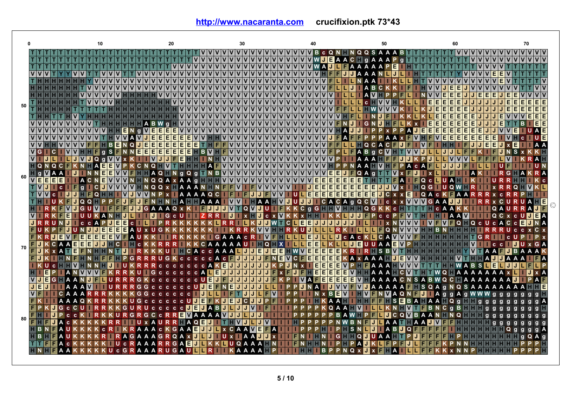**<http://www.nacaranta.com>crucifixion.ptk 73\*43**

|            |                              |                                      | 20                                                            |                                                                     |                                                                      |                                             |                                                                                                                                 | 70                 |
|------------|------------------------------|--------------------------------------|---------------------------------------------------------------|---------------------------------------------------------------------|----------------------------------------------------------------------|---------------------------------------------|---------------------------------------------------------------------------------------------------------------------------------|--------------------|
|            |                              |                                      |                                                               | VVVVVVVVVVVVVVVVVVB c Q N H N Q Q S A A A B T T T T T T T T I VV    |                                                                      |                                             |                                                                                                                                 |                    |
|            |                              |                                      |                                                               | VVVVVVVVVVVVVVVVVWJEAACHGAAAP                                       |                                                                      | a III                                       | V V V V                                                                                                                         |                    |
|            |                              |                                      | $\mathbf{v}$                                                  | VVVVVVVVVVVVVVVVVWAJLFAAAAAPE<br>$\mathsf{v}$                       |                                                                      |                                             | V <sub>V</sub>                                                                                                                  |                    |
|            |                              |                                      |                                                               |                                                                     | VVVVVVVVVVVVVVVI                                                     | FUJIA A A N                                 |                                                                                                                                 |                    |
|            |                              |                                      |                                                               | VVVVVVVVVVVVVVVVVVVVVVVV<br>VVVVVVVVVVVVVVVVVVVVVV <b>FLL</b>       |                                                                      |                                             |                                                                                                                                 |                    |
|            |                              |                                      |                                                               | <u> v v v v v v v v</u>                                             | $\overline{\mathsf{v}}$                                              | $A$ B C<br>J<br>40<br>$\mathsf{v}$<br>P.    | Е<br>E<br>E<br>Е<br>Е.                                                                                                          |                    |
|            |                              |                                      |                                                               |                                                                     | ١v                                                                   | <b>HV</b><br>$\mathbf{c}$                   | E                                                                                                                               |                    |
| 50         |                              |                                      |                                                               | VVVVVVVVVVVVVVVVVVVV                                                | V V<br>١v<br>FF                                                      | <b>HWVVVV</b>                               | E                                                                                                                               |                    |
|            |                              |                                      |                                                               | <u> v v v v v v v v </u>                                            |                                                                      |                                             | Е<br>E<br>Е                                                                                                                     |                    |
|            |                              |                                      |                                                               | VVVVVVVVVVVVVVVVVVVV                                                | F<br>١v<br>١v<br>١v                                                  | NUIGN<br><b>JHFL</b>                        |                                                                                                                                 |                    |
|            |                              |                                      | E<br>E.<br>E<br>Е<br>$\mathbf v$<br>vlvl<br>Е<br>$\mathbf{a}$ | VVVVVVVVVVVVVVVVVVVVVVVVIVAJJIPPxPPAJEE                             |                                                                      |                                             | E<br>EIE<br>E                                                                                                                   |                    |
|            |                              | <u> V V V V V V V</u>                | <b>VV</b><br>E.<br>E<br>E<br>E<br>El<br>E<br>A                | <b>HHVVVVVVVVVVVVVVVVVV</b>                                         | F<br>IJ                                                              | <b>A FIFE</b><br>PPPAAXF <b>MHFMEE</b>      | E.<br>E<br>E                                                                                                                    |                    |
|            |                              | E<br>$\mathbb H$ B,                  | E<br>Е<br>E<br>J<br>E<br>E<br>EE<br>N<br>Q<br>E.              |                                                                     |                                                                      | FFVVVVVVVVVVVVVVVVVFFLLHQCACFUFIVF          |                                                                                                                                 |                    |
|            |                              | VVHHF<br>s.<br>F<br>$\mathbf{g}$     | E<br>Е<br>EE<br>E[E]E[E]<br>N N                               |                                                                     |                                                                      | <b>PLFABGCWHTWVJL</b>                       |                                                                                                                                 | $S_{X}$            |
|            |                              | <b>JVJQ</b> a                        | FEHH                                                          | NHVVVVVVVVVVVVVVVVVVV                                               | ١v                                                                   | <b>AAA</b><br>F                             |                                                                                                                                 |                    |
|            | QNQCF                        | KNH<br>E<br>E                        | K C<br><b>NQHV</b>                                            | $T$ HHHHHAFV $ V V V V V V V V V V V V V V V V V$                   | ١v                                                                   | <b>PNAA MHEPACA</b>                         |                                                                                                                                 |                    |
| $_{60}$ in |                              | E.<br>Е<br>IJI I N                   | AQ NGQ a                                                      | TNBVVVVVVVVVVVVVVVVVV                                               |                                                                      | E J F Q A g F F M x F U F x L               | A K                                                                                                                             | G I                |
|            | <b>EE</b><br><b>IEIE</b>     | <b>ACN</b>                           |                                                               | NQQA x A A g H H H V V V V V V V V V V V V V                        | E<br>E<br>E<br>$\mathbf v$<br>E                                      | <b>EEE</b><br><b>HIT</b><br><b>TFA</b>      | <b>THQ CHUAHI</b>                                                                                                               |                    |
|            |                              | $\blacksquare$<br>l Cl               |                                                               | NQQXHAAANHNFFVIFVVVVVIII                                            | J                                                                    | $E$ e e e e e e e e e e<br>lululu           | <b>x Tiggiuaw</b>                                                                                                               |                    |
|            |                              | JJHIF<br>$\Omega$                    |                                                               | $A$ $A$ $A$ $A$ $Q$ $C$<br><b>IFIFJ</b>                             |                                                                      |                                             |                                                                                                                                 |                    |
|            |                              | $\blacksquare$ QQ $\blacksquare$ PPF |                                                               | NHAHHAAA I <b>WWIHAAHWJUU</b>                                       | ЫT                                                                   | CACAGQCVICXXVVVGAAJJ                        |                                                                                                                                 |                    |
|            |                              | <b>VJGUV</b>                         |                                                               | GAAAQ x K I F J J J J V T Q V J U I F K K C g G T H V H F I Q G K K | н                                                                    | <b>UUEP CCPFWTHTHIAAV</b>                   | $c$ <b>Heightin</b> $c$ A A K                                                                                                   | QAU<br>$\Pi$ E $A$ |
|            |                              | <b>IUUKAN</b><br>RRUNU CCAP<br>JEE   | I c III                                                       | <b>IDIGCUTTZRRIDIXTDCXWKKX</b><br>RKKKKKKLRRIL<br><b>KJJWT</b>      | KL<br>$ {\tt C}$ $\blacksquare$ $\blacksquare$<br><b>EUJJJJJJJ</b> J | TIL.<br><b>IIIx NVVV</b>                    | Q<br>$Q \qquad Q \qquad C \qquad U \qquad C \qquad A \qquad C \qquad C \qquad \fbox{\color{red}{\blacksquare}}$<br><b>IVFVF</b> | $C \times C$       |
|            |                              | <b>PENUNUNE</b><br>EEE               | AUX<br>U G                                                    | KRRK                                                                | <b>VVHHRKU</b>                                                       | RKILLLFQNVVVI                               |                                                                                                                                 | c c x C x          |
|            | KRJE                         | $V$ $F$ $E$ $E$ $E$ $E$ $E$ $V$ $F$  | A <sub>U</sub>                                                | <b>GAAACR</b><br><b>VFHL</b>                                        | ILILIEI                                                              | <b>ULLU</b> CA CKL CAVVVF                   | G <sub>R</sub>                                                                                                                  |                    |
|            | $\blacksquare$ K C A A EIEIE | C.                                   | R.<br>c                                                       | RIKKCAAAAAUIHQHX                                                    | E<br>E<br>l I Li<br>L.                                               | FEIU U A AI<br>IJ<br>El<br><b>VPH</b>       |                                                                                                                                 | $c$ $c$            |
| 70         | <b>NK</b> x A <b>ndin</b>    |                                      |                                                               | CACCAAALJJEJEEHWVEE                                                 | E<br>E<br>E                                                          | <b>KRIRHSBVTHHHH</b>                        |                                                                                                                                 | $\blacksquare$ B   |
|            |                              | <b>HEELPGR</b>                       |                                                               | UGK c c c c c A c FUNUUF NEW C FEEE                                 | E<br>E                                                               | <b>KAXAAAHUEWVHHH</b>                       | <b>HHVTHHAUU</b> AAA                                                                                                            |                    |
|            |                              | <b>VHNNHJ</b>                        | I U                                                           | <b>CCCCCCAKEJJJJJJKP</b>                                            | E<br>E<br>E<br>E<br>$\blacksquare$ N x $\blacksquare$                | $\overline{\mathsf{v}}$<br>P.<br><b>HIF</b> | AAAHVVVTTTHHWABSLELJJL                                                                                                          |                    |
|            |                              | <b>P AN VVV KRRKUIG</b>              |                                                               | <b>CCCCCALEJJJJJJJJF</b>                                            | E<br>FJFHEE<br>E<br>$\mathbf{x}$                                     |                                             | EVILAAA TCVTHTWQHAAAAAAA XL                                                                                                     |                    |
|            | <b>MUEGHAANU</b>             | I II URRR                            |                                                               | GK c c c c c c c U E J F J J J J J J F K P I V A F E E              |                                                                      |                                             | EEEMHAAAACNSABWQCHAAAAAAA <mark>U</mark>                                                                                        | AF                 |
|            |                              | <b>AAAM JURRR</b>                    |                                                               | G c c c c c c U U E F N E J J J J J J L                             | PPU<br><b>NAI</b>                                                    |                                             | J V V F V J A A A A A F H S Q A q N Q S A A A A A A A A H H E                                                                   |                    |
|            |                              | <b>TECAAARRR</b>                     |                                                               | G c c c c c c i   J   L   L   I   F   T   J   J   L   F   V   I     | $\mathsf{P} \mathsf{P} \mathsf{I}$                                   |                                             | N x B E V I H V F N V A Q N F J I A g g A g W W W g g g                                                                         |                    |
|            |                              | <b>AAAQKRRK</b>                      |                                                               | KUGCCCCCCUJEFKJEJCJJPFIPPPIHKAAILIHIFFIISEBAHAAIQqIIIqq             |                                                                      |                                             | <b>a</b>                                                                                                                        | g g A              |
|            |                              | <b>KIGCCUTRR</b>                     |                                                               | KGURUCCCCC DE JABDE JUVIE I III                                     | <b>PP</b><br>P<br>PK.                                                | QAAHVILLKNHVTFBNCq                          | <b>BHHH</b> gg                                                                                                                  | <b>g</b>           |
| 80         |                              | CCK RK                               | KURGRGCCRREMAAAAMUUL                                          | IJ<br>IJН                                                           | P.                                                                   |                                             | PPBAW PFLUCQWBAAN NQILIIIq<br>g                                                                                                 |                    |
|            |                              | <b>FILE UACKKKK</b><br>KRRI          | UXAURRHAQ <b>EJI FINJIL</b>                                   | <u>IJ VELLE</u>                                                     | P                                                                    | PNWBNF <b>ULAAFHAAUV</b>                    | $\mathbf{H}$ g $\mathbf{g}$                                                                                                     | $\mathbf{q}$       |
|            |                              | c R                                  |                                                               | AAACKGAAEUULXCAAWEFAI                                               |                                                                      | н<br>SNLUIABJQFFFF                          |                                                                                                                                 | ۱Q                 |
|            |                              | AUKKKKR RAG                          |                                                               | AAAGRQA x ULU U U X I AAUJ X III                                    |                                                                      | <b>GHTQUUAAHT</b>                           | PUEF                                                                                                                            |                    |
|            |                              | KUCGR                                | A A A R U G A U <b>L T</b>                                    |                                                                     | ÷.                                                                   | PAJKLIF<br>PFJL<br>Q x                      |                                                                                                                                 |                    |
|            |                              |                                      |                                                               |                                                                     |                                                                      | $\mathbf{x}$                                |                                                                                                                                 |                    |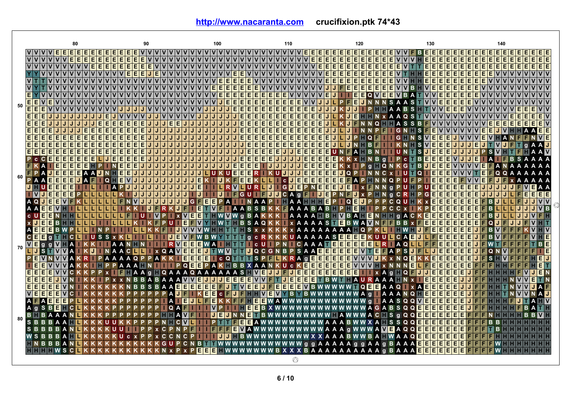|                     | 80                                                                                                                                           | 90                                                                            | 100                                                                                           | 110                                             | 120                                        | 130                                                       |                                                              |
|---------------------|----------------------------------------------------------------------------------------------------------------------------------------------|-------------------------------------------------------------------------------|-----------------------------------------------------------------------------------------------|-------------------------------------------------|--------------------------------------------|-----------------------------------------------------------|--------------------------------------------------------------|
|                     | $V$ $F$ $F$<br>EE                                                                                                                            | EIE                                                                           |                                                                                               | E.<br>ΙE                                        | Е<br>EI<br>Е                               | E.<br>II EL B<br>¢<br>Е                                   | E.<br>EIE                                                    |
|                     | $\overline{v}$ $\overline{v}$<br>E<br>E<br>$\mathbf v$<br> V <br>IV.<br>$\mathbf v$<br>E.                                                    | E<br>E<br>E<br>$\mathbf v$                                                    | $\mathbf v$<br>$\mathsf{v}$<br>v<br>$\mathbf v$                                               | E<br>E<br><b>VVVV</b><br><b>V</b><br>١v         | E<br>E<br>E<br>E<br>E<br>E<br>E<br>E       | E<br>E<br>E<br>E<br>E<br>E<br>E                           | E<br>E<br>E<br>E<br>$\overline{E}$<br>EE<br>E<br>E<br>E<br>E |
|                     | $\overline{v}$<br>$\mathbf{v}$<br>$\mathbf{v}$<br>$\mathbf v$<br>$\mathbf v$<br>$\mathbf{v}$<br>Е<br>EI<br>Е<br>$\mathbf{v}$<br>$\mathsf{v}$ | IE.<br>E<br>Е<br>EI<br>$\mathbf v$<br>$\mathbf v$<br>$\mathbf v$<br>Е<br>I El | $\mathbf v$<br><b>v</b><br>$\mathbf v$<br>$\mathbf v$<br>v<br>$\mathbf v$<br>$\mathbf v$<br>v | <b>VVVVVVVVVVVV</b><br>E                        | E<br>E<br>E<br>Ε<br>Е<br>E<br>E<br>E       | E<br>E.<br>El<br>E<br>E<br>E<br>VITITIE<br>E<br>E.<br>IE. | Е<br>Ε<br>E<br>Е<br>Е<br>EE<br>Е<br>E<br>E<br>E              |
|                     |                                                                                                                                              | ΙE<br>E<br>E<br>Е                                                             |                                                                                               |                                                 | E<br>E<br>E<br>F<br>Е<br>E<br>E.<br>Ē      | Ē<br>F                                                    |                                                              |
|                     | ١v                                                                                                                                           |                                                                               | F<br>E.<br>F<br>E<br>F                                                                        |                                                 | E<br>E<br>E<br>E<br>E<br>E.<br>E.<br>F     | E<br>E.<br>Е<br>F<br>Е<br>Е                               | Е<br>F                                                       |
|                     | Ιv                                                                                                                                           |                                                                               | E.<br>E<br>E<br>E<br>E.<br>E.                                                                 | <b>EVVVVVV</b><br><b>v</b><br>ΙV<br>$\mathbf v$ | E<br>E<br>E<br>E.<br>E.                    | E.<br>E.<br>Е<br>Е<br>Е<br>в                              | Е                                                            |
|                     | E                                                                                                                                            |                                                                               | E<br>E<br>E<br>F<br>F<br>F                                                                    | F                                               | E<br>E<br>E.<br>E<br>۵۱                    | E<br>E.<br>F<br>в                                         | F                                                            |
| 50                  | E<br>E                                                                                                                                       |                                                                               | E<br>El<br>Е<br>Е<br>Е                                                                        | Е<br>Е                                          | E                                          | s<br>Е                                                    |                                                              |
|                     | E                                                                                                                                            |                                                                               |                                                                                               | Е<br>Е<br>Е<br>Е                                |                                            | Е<br>F<br>F                                               | F<br>E<br>vlv                                                |
|                     | E<br>Έ<br>E                                                                                                                                  |                                                                               | E<br>E<br>E<br>$\mathsf{v}$<br>v<br>J                                                         | Е<br>E<br>Е<br>E<br>E<br>E<br>E<br>Е<br>Е       | Е<br>J                                     | <b>V</b><br>Q<br>s                                        | E<br>Е<br>E<br>E<br>EV                                       |
|                     | Ē<br>E                                                                                                                                       | E<br>E<br>Е<br>Е                                                              | E<br>J<br>Е<br>E<br>Е                                                                         | Е<br>E<br>E<br>E<br>E<br>E<br>E<br>E<br>E       | л<br>Q                                     |                                                           | E<br>Е<br>E<br>Е<br>E.<br>EIV<br>E.<br>E.                    |
|                     | Ē<br>E<br>E<br>E.                                                                                                                            | E<br>E<br>Е                                                                   | E<br>Е<br>Е                                                                                   | E<br>E.<br>E<br>Е<br>E<br>E<br>Е<br>Е<br>Е      | J.                                         | G<br>IE<br>s                                              | Е<br>Е<br>E E.                                               |
|                     | E<br>E<br>E<br>E<br>E                                                                                                                        | E<br>E<br>Е<br>J<br>J                                                         | F<br>F<br>J                                                                                   | Е<br>E<br>E<br>Е<br>E<br>Е                      | E<br>O                                     | E<br>E<br>G<br>s<br><b>VE</b>                             | Е<br><b>VIE</b>                                              |
|                     | E<br>Ē<br>E<br>E                                                                                                                             | Е                                                                             | Е<br>Е                                                                                        | E<br>E<br>E<br>E<br>Е<br>Е<br>Е<br>Е<br>Е       | Е<br>в                                     | VIE.<br>E<br>Е<br>s                                       | Е<br>$\alpha$<br>А                                           |
|                     | Ε<br>P                                                                                                                                       | F                                                                             |                                                                                               | E<br>E<br>E                                     |                                            | s<br>Е<br>E                                               | s                                                            |
|                     | E.<br>$\mathbf{C}$<br>E<br>E<br>Е<br>c.<br>E<br>F<br>E                                                                                       | Е<br>Е<br>ΙE                                                                  | Е<br>Е<br>Е                                                                                   | E<br>E<br>E<br>Е<br>IJ                          | E<br>Е<br>в<br>$\mathbf{a}$<br>E           | Е<br>Е<br>c.                                              | E<br>s.<br>A<br>в<br>А                                       |
|                     | E<br>E.<br>Е<br>E.<br>Α<br>F<br>P<br>Е<br>A<br>E<br>E.<br>E.<br>J<br>A FI N<br>А                                                             | E<br>E<br>Е<br>IE.<br>IE.<br>IJ<br>J<br>J<br>IJ<br>J<br>ы                     | E<br>E<br>E.<br>E<br>El<br>E.<br>E.<br>''<br>''                                               | E<br>E<br>E<br>IJ<br>IJ<br>E<br>E<br>E<br>ЮIJ   | E<br>Q<br>a<br>Е<br>E<br>J<br>lo           | G<br>E<br>E<br>Е<br>πо<br>u<br>ΙE                         | Е<br>A<br>A<br>E<br>Q<br>$\Omega$<br>A<br>A                  |
| $60$ $\blacksquare$ | E<br>Е<br>E<br>ΑA<br>$\Omega$                                                                                                                |                                                                               | Е<br>E.                                                                                       | E<br>Е<br>Е<br>Е<br><b>C</b>                    | E<br>E                                     | Е<br>Е                                                    |                                                              |
|                     | E<br>E<br>E                                                                                                                                  |                                                                               | E<br>R.                                                                                       | II GI JI E<br>E.<br>Þ                           | Е<br>Е<br>IE.<br>J                         | E<br>Е<br>Е<br>Е<br>Е<br>n                                | A A                                                          |
|                     | $\mathbf{V}$<br>E<br>E<br>E                                                                                                                  |                                                                               | E<br>G.<br>J                                                                                  | C A<br>J<br>$\alpha$                            | Е<br>P<br>F<br>N                           | F<br>E<br>G                                               | EE<br>E<br>E<br>E                                            |
|                     | E<br>E<br>ν                                                                                                                                  |                                                                               | Е<br>Е<br>G<br>P.<br>A                                                                        | A<br>A                                          | E.<br>Е<br>P<br>l Q                        | Е<br>Е<br>Е<br>Е<br>Е<br>Q<br>Е                           | E<br><b>VIV</b><br>в                                         |
|                     | E<br>E                                                                                                                                       |                                                                               | Ē<br>А<br>A<br>в                                                                              | Δ<br>S B<br>А                                   | E<br>в                                     | F                                                         | B<br>B.                                                      |
|                     | E<br>E<br>$\mathbf{C}$                                                                                                                       |                                                                               | E<br>Е<br>$\mathbf{a}$                                                                        | A                                               | V<br>B<br>E.<br>в<br>AH                    | E<br>F<br>F<br>F<br>$\alpha$                              | B<br>F<br>Е                                                  |
|                     | E<br>Е<br>в                                                                                                                                  |                                                                               | в                                                                                             | А<br>$\mathbf{x}$                               | s<br>Е<br>в<br>v<br>А                      | F.<br>Θ.<br>Е<br>F.<br>Е<br>Е                             | Е<br>Q                                                       |
|                     | E<br>A<br>Ē<br>E.                                                                                                                            |                                                                               |                                                                                               |                                                 | A<br>A<br>A<br>A                           | E<br>F                                                    | B                                                            |
|                     | $\mathbf{c}$<br>E<br>E<br>С<br>s<br>a                                                                                                        |                                                                               | a                                                                                             | A                                               | E<br>E<br>s<br>E<br>E<br>A<br>υ<br>u       | E<br>C.<br>Е<br>Е<br>Е<br>Е                               | B<br>E                                                       |
|                     | ⊽<br>Е<br>$\mathbf{g}$<br>a                                                                                                                  |                                                                               | E<br>Е<br>E<br>А<br>c.                                                                        | A<br><b>C</b><br>A<br>A                         | E<br>Ε<br>E<br>Е<br>E<br>EI<br>R.          | E<br>Е<br><b>AQ</b><br>Е<br>Е<br>Е                        | E<br>вI                                                      |
| 70                  | т<br><sub>S</sub><br>J<br>V                                                                                                                  | $\Omega$<br>A<br>$\mathbf{x}$                                                 | Е<br>Е<br>Е<br>J<br>WV<br>JI 0                                                                | Е<br>$\mathbf{s}$<br>A<br>A                     | E<br>Е<br>Е<br>E<br>TE<br>E<br>$\mathbf v$ | F<br>s<br>Е<br>A                                          | $\Omega$<br>E                                                |
|                     | $\overline{P}$<br>Ε                                                                                                                          | Ω<br>A                                                                        | Е<br>E<br>Е<br>E<br>$\Omega$<br>s<br>$\mathbf{c}$                                             | Ε<br>E<br>A<br>п                                | E<br>E<br>E<br>E                           | F<br>Е<br>E<br>Ω<br>$\mathbf{x}$                          | s<br>El                                                      |
|                     |                                                                                                                                              |                                                                               | E<br>E<br>Q<br>в<br>в                                                                         | E<br>E<br>Е<br>c                                | Е<br>Е<br>Е<br>E                           | E<br>Е<br>Е                                               |                                                              |
|                     | E<br>Е<br>c.                                                                                                                                 | Q<br>A                                                                        | $\Omega$<br>A<br>A<br>A<br>A                                                                  | E<br>E<br>E<br>E<br>IJ                          | E<br>E<br>E<br>E<br>E<br>$\mathbf{x}$      | $\Omega$<br>E<br>Е<br>Е<br>E<br>А<br>$\alpha$             | EI                                                           |
|                     | Ε<br>Ē<br>E                                                                                                                                  | A                                                                             | V E<br>V<br>JEI<br>E<br>E.<br>E.<br>J/J                                                       | IE.<br>E<br>E<br>Е<br>vlv                       | в<br>R<br>A<br>Δ                           | Е<br>Е<br>Е<br>E<br>Е                                     | Е                                                            |
|                     | E<br>E<br>E<br>E                                                                                                                             |                                                                               | E<br>E<br>E<br>E<br>E<br>E                                                                    | E<br>E<br>Е<br>в<br>Е                           | E<br>۹П<br>w w w w w                       | ۵                                                         |                                                              |
|                     | ١v<br>E<br>E<br>Е<br>c                                                                                                                       |                                                                               | E<br>Е<br>c.                                                                                  | Е                                               | W W W W W A<br>$\mathbf{q}$                | F<br>Е<br>Е<br>Е<br>F<br>Ω                                |                                                              |
|                     | E.<br>E<br>E<br>A                                                                                                                            |                                                                               | E<br>Е<br>F                                                                                   |                                                 | $\alpha$                                   | E<br>E<br>o ol<br>E<br>E                                  |                                                              |
|                     | Α<br>s<br>в<br>Е<br>с                                                                                                                        | o                                                                             |                                                                                               |                                                 | G                                          | s<br>o o<br>Е<br>Е<br>Е<br>Е                              | R                                                            |
| 80                  | в<br>н                                                                                                                                       |                                                                               | E                                                                                             |                                                 | c.                                         | Е<br>s<br>QQ<br>q                                         | vı                                                           |
|                     | S <sub>B</sub> B                                                                                                                             |                                                                               | ¢<br>EI                                                                                       | A W W \                                         | А                                          | S.<br>$S^Q Q$<br>E<br>E<br>E<br>Е<br>Е<br>F               | в                                                            |
|                     | $S$ $B$                                                                                                                                      |                                                                               | Е                                                                                             |                                                 | А<br>W<br>A                                | <b>VE</b><br>A Q Q<br>Е                                   |                                                              |
|                     | W                                                                                                                                            |                                                                               |                                                                                               |                                                 | в<br>А                                     | A Q<br>Е<br>A                                             |                                                              |
|                     |                                                                                                                                              |                                                                               |                                                                                               | Α<br>WW g g                                     | AAAAgg<br>A<br>$\mathbf{q}$<br>A           | <b>BAAA</b><br>Е<br>Е<br>Е                                |                                                              |
|                     | s<br>С                                                                                                                                       |                                                                               | Е<br>Е<br>Е                                                                                   | A                                               | <b>AAAAAAAA</b> a                          | <b>BAAA</b><br>Е<br>Е<br>Е<br>Е<br>Е<br>Е                 |                                                              |
|                     |                                                                                                                                              |                                                                               |                                                                                               | ◎                                               |                                            |                                                           |                                                              |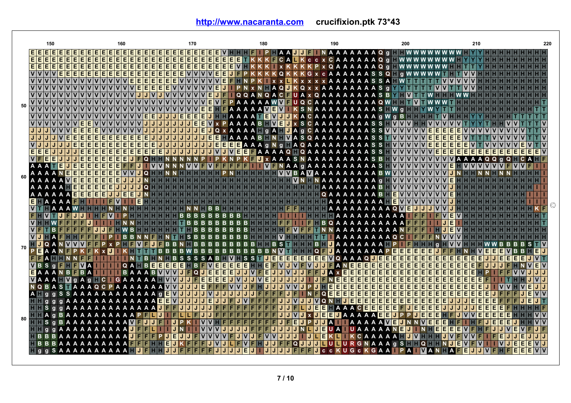**<http://www.nacaranta.com>crucifixion.ptk 73\*43**

|    | 150                             | 160                                                                                                                                                                                                                                                                                                                                                                                                                                                                                        | 170                                             | 180                   |                                                                  | 200                                                                                                                                             | 210                 | 220 |
|----|---------------------------------|--------------------------------------------------------------------------------------------------------------------------------------------------------------------------------------------------------------------------------------------------------------------------------------------------------------------------------------------------------------------------------------------------------------------------------------------------------------------------------------------|-------------------------------------------------|-----------------------|------------------------------------------------------------------|-------------------------------------------------------------------------------------------------------------------------------------------------|---------------------|-----|
|    |                                 |                                                                                                                                                                                                                                                                                                                                                                                                                                                                                            |                                                 |                       |                                                                  | P A A <b>U U I</b> N A A A A A A A A Q q <b>I I WWWWWWW</b>                                                                                     |                     |     |
|    |                                 | E<br>E                                                                                                                                                                                                                                                                                                                                                                                                                                                                                     | E<br>E.<br>E.<br>E.<br>E                        |                       |                                                                  | TKKKFCALK c c x C A A A A A A Q q H W W W W W W                                                                                                 |                     |     |
|    |                                 | <u>EEEEEEEEEEE</u><br>Е<br>Е<br>Е<br>E<br>Е<br>E                                                                                                                                                                                                                                                                                                                                                                                                                                           | Ε<br>Е<br>E                                     |                       |                                                                  | EEEEEEEE VIKKKIXKKKP x Q A A A A A A Q g I WWWWWW I                                                                                             |                     |     |
|    | VVVVEEEEEEE                     | Ē<br>E                                                                                                                                                                                                                                                                                                                                                                                                                                                                                     | E.<br>E.<br>E<br>E<br>E<br>E                    |                       |                                                                  | <b>UFPKKKKQKKKGxcAAAAAASSQFgWWWWWT</b>                                                                                                          |                     |     |
|    |                                 | E                                                                                                                                                                                                                                                                                                                                                                                                                                                                                          | E.<br>E.<br>E                                   |                       | K X X K X X X X X A A A A A A S S A HWH                          |                                                                                                                                                 |                     |     |
|    |                                 | lΕ<br>E<br>E<br> v v v v v v v v v v v v                                                                                                                                                                                                                                                                                                                                                                                                                                                   | E.<br>E.<br><b>VVVVE</b>                        |                       | U PN x N A Q K Q x x A A A A A A A A S q                         | Y Y T T                                                                                                                                         |                     |     |
|    |                                 |                                                                                                                                                                                                                                                                                                                                                                                                                                                                                            | E<br>JEI                                        |                       |                                                                  | IQQANQACFUAxQAAAAAAAASBYHVITWHHHWWH                                                                                                             |                     |     |
| 50 |                                 |                                                                                                                                                                                                                                                                                                                                                                                                                                                                                            | EI                                              |                       | <b>PAAAAAWWFUQCAAAAAAAAAQWHHTM</b>                               |                                                                                                                                                 |                     |     |
|    |                                 |                                                                                                                                                                                                                                                                                                                                                                                                                                                                                            | E<br>VE                                         |                       | FFAAAAA WEW KSNAAAAAAAAAS FW g H                                 |                                                                                                                                                 |                     |     |
|    |                                 | E<br>E.                                                                                                                                                                                                                                                                                                                                                                                                                                                                                    | JE<br>E<br>E                                    |                       | EJHI AAAA TEMUJKACAAAAAAAAA g W g B H H H                        |                                                                                                                                                 |                     |     |
|    | <b>VVVVE</b>                    | E                                                                                                                                                                                                                                                                                                                                                                                                                                                                                          |                                                 |                       | JEEV x PAAAABHVEJ x S C A A A A A A A S S HVVVH                  |                                                                                                                                                 |                     |     |
|    |                                 | <b>JJJVVVEEEEVVV</b><br>$\bullet$                                                                                                                                                                                                                                                                                                                                                                                                                                                          | JJJJ                                            |                       | JEJQ x A A A A H g A H J A g C A A A A A A A A S S V V V V V V E |                                                                                                                                                 |                     |     |
|    | JJJJVEEEEEE                     | E<br>Ε<br>E<br>Е<br>Е                                                                                                                                                                                                                                                                                                                                                                                                                                                                      | UUUUUEEHAAAABHNHVASQAAAAAAAASSTVVVVVE<br>JJJ    |                       |                                                                  |                                                                                                                                                 |                     |     |
|    |                                 | $JJJJJJEEEEEE$<br>E<br>E<br>E                                                                                                                                                                                                                                                                                                                                                                                                                                                              |                                                 |                       | JJJEEEEAAAgNg FAQAAAAAAAASSHVVVVVE                               |                                                                                                                                                 |                     |     |
|    | <b>EEEJJJ</b>                   | <b>JJEEEEE</b><br>Е<br>E<br>E<br>E<br>E.                                                                                                                                                                                                                                                                                                                                                                                                                                                   | E                                               |                       |                                                                  | JJJJJJJVJVEEFAAAAQHQAAAAAAAASSHVVVVVEEEE                                                                                                        | IEIEIEIEI<br>EEEEEV |     |
|    |                                 | <b>IJJEEEEE</b><br>E.<br>O                                                                                                                                                                                                                                                                                                                                                                                                                                                                 |                                                 |                       |                                                                  | I P K N P K F U x A A A S N A A A A A A A A A S B H V V V V V V V V V V A A A A Q Q g Q H                                                       |                     |     |
|    | A A A TEJEEEEE                  | <b>V</b>                                                                                                                                                                                                                                                                                                                                                                                                                                                                                   |                                                 |                       |                                                                  | NNVVFVFFFFFFF IIVFNAA 9 A A A A A A A A A A S H V V V V V V V V V E H V V V V V V                                                               |                     |     |
|    | 80 A A A A N E E E E E E        | E<br>IQ HI                                                                                                                                                                                                                                                                                                                                                                                                                                                                                 |                                                 |                       |                                                                  | H H H H H H P N H H H H H H V V B A V A A A A A A A A A B W V V V V V V V V V V V V                                                             |                     |     |
|    | A A A A <b>MEEEEE</b>           |                                                                                                                                                                                                                                                                                                                                                                                                                                                                                            |                                                 |                       |                                                                  | HHHHHHHHHHHHHHHHHHH VNHNAAAAAAA 9 HVVVVVVVVV                                                                                                    |                     |     |
|    |                                 | A A <b>HE E E E E</b><br>E.<br>$\Omega$                                                                                                                                                                                                                                                                                                                                                                                                                                                    |                                                 |                       |                                                                  | HHHHHHHHHHHHHHHHHA A A A A A A BHVVVVVVVVV <mark>VJ</mark>                                                                                      |                     |     |
|    | AAAAA EEEEE                     | EIE                                                                                                                                                                                                                                                                                                                                                                                                                                                                                        |                                                 |                       | HHHHHHHHHHAQAAAAAAABH <mark>EVVVVV</mark> V                      |                                                                                                                                                 |                     |     |
|    | EHAAAAFH<br><b>METHAAAWEETH</b> |                                                                                                                                                                                                                                                                                                                                                                                                                                                                                            | B <sub>B</sub>                                  |                       |                                                                  | H H H H H H H H H H H H H H H H H H A A A A A A A A A H E V V V V V V V V<br>HHHHHHHHHHFFHHHHA A A A A A A A A Q <mark>V E J J J V V V J</mark> |                     |     |
|    | <b>FHVTJFJJ</b>                 |                                                                                                                                                                                                                                                                                                                                                                                                                                                                                            | <b>BBBB</b><br>HB.                              |                       |                                                                  |                                                                                                                                                 |                     |     |
|    |                                 |                                                                                                                                                                                                                                                                                                                                                                                                                                                                                            | <b>BBB</b>                                      |                       | BBBB <b>ETTHEFTTEHBQAAAAAAAAAAEEE</b>                            |                                                                                                                                                 |                     |     |
|    |                                 |                                                                                                                                                                                                                                                                                                                                                                                                                                                                                            | B.                                              | $B$ HHHHHHFVFFT       |                                                                  | <b>AAAAAAAAANEEE</b>                                                                                                                            |                     |     |
|    |                                 |                                                                                                                                                                                                                                                                                                                                                                                                                                                                                            | $S$ $B$ $B$ $B$                                 | <b>BBBBHHHHVHHHHT</b> | AAAAAAAAQCI                                                      |                                                                                                                                                 |                     |     |
|    |                                 |                                                                                                                                                                                                                                                                                                                                                                                                                                                                                            |                                                 |                       |                                                                  |                                                                                                                                                 |                     |     |
| 70 |                                 |                                                                                                                                                                                                                                                                                                                                                                                                                                                                                            |                                                 |                       | <b>BBBBBBNWTHHHQFUAAAAAAAPEE</b>                                 | EI<br>E<br>E                                                                                                                                    | VEE                 |     |
|    | IFI A HI HI N N FIFI            | в                                                                                                                                                                                                                                                                                                                                                                                                                                                                                          | <b>SSSSAB</b>                                   |                       | HVHS STUEEEEEEEEVQ A A A QUEEE                                   | E<br>E.                                                                                                                                         | <b>FEEEE</b>        |     |
|    | <b>VBSGFHFVAI</b>               | <b>QA</b><br>E                                                                                                                                                                                                                                                                                                                                                                                                                                                                             | H B F V E E E E E H H E<br><u>ieleiei</u><br>EI |                       | <b>FVJVFVJJFANEE</b><br>E                                        | EE<br>IE.<br>E<br>E<br>EI<br>E<br>E                                                                                                             |                     |     |
|    |                                 | <b>EAAANBEBATTI</b>                                                                                                                                                                                                                                                                                                                                                                                                                                                                        | <b>BAAABVVVJFQUEEEEJJJVFEJJVJJFFJAXE</b>        |                       | E<br>E<br>E                                                      | E<br>E<br>E.<br>E<br>E<br>E<br>E                                                                                                                |                     |     |
|    |                                 | VAAAHV gAgHC GAAAAAHVVJJFEE                                                                                                                                                                                                                                                                                                                                                                                                                                                                | E                                               | EJVJJVEJJJJJ          | Ε<br>IJ DENE<br>Е<br>Е<br>E                                      | Е<br>Е<br>E<br>E.                                                                                                                               |                     |     |
|    |                                 | NQBASTAAAQCPAAAAAAA <mark>WVJJJEFFFWVJ</mark> J                                                                                                                                                                                                                                                                                                                                                                                                                                            |                                                 |                       | E<br>E<br>JHEEE<br>E<br>$\blacksquare$ P                         | E.<br>E<br>E<br>Е<br>Е                                                                                                                          |                     |     |
|    |                                 | A I g g S S A A A A A A A A A A A A G E VIJ J                                                                                                                                                                                                                                                                                                                                                                                                                                              | J J V J J                                       | F                     | E<br>E<br>N o Eleie<br>N                                         | <b>EEEE</b><br>E<br>EEI<br>E                                                                                                                    |                     |     |
|    |                                 | HII q q q A A A A A A A A A A A A A E E VIJ J                                                                                                                                                                                                                                                                                                                                                                                                                                              | E<br>÷                                          |                       | IFFUJJVJJJV Q N H J E<br>E<br>E                                  | <b>EEEE</b><br>E<br>E<br>E<br>E                                                                                                                 | EE                  |     |
|    |                                 | <b>FFS</b> g g A A A A A A A A A A A A A A I                                                                                                                                                                                                                                                                                                                                                                                                                                               | $J$ $J$ $F$                                     | JJFL                  | El<br>IJ                                                         | E TA A A C E E E E E FUE E E E                                                                                                                  | IE.                 |     |
|    |                                 | 80 <b>NEAGEAAAAAAAAAAP</b>                                                                                                                                                                                                                                                                                                                                                                                                                                                                 | FI                                              |                       | IVIJ x DEELI A A A A EELI P P DE                                 |                                                                                                                                                 | IE.<br>IE.          |     |
|    |                                 | <b>HIS GBAAAAAAAA AMFUU</b>                                                                                                                                                                                                                                                                                                                                                                                                                                                                | KIIVVHFFFFFFF                                   | <b>FJFE</b><br>IJ     | <b>JJAILAAAAAWEJNNWE</b><br>l P.                                 |                                                                                                                                                 | IE.                 |     |
|    |                                 | $\blacksquare$ $\blacksquare$ $\blacksquare$ $\blacksquare$ $\blacksquare$ $\blacksquare$ $\blacksquare$ $\blacksquare$ $\blacksquare$ $\blacksquare$ $\blacksquare$ $\blacksquare$ $\blacksquare$ $\blacksquare$ $\blacksquare$ $\blacksquare$ $\blacksquare$ $\blacksquare$ $\blacksquare$ $\blacksquare$ $\blacksquare$ $\blacksquare$ $\blacksquare$ $\blacksquare$ $\blacksquare$ $\blacksquare$ $\blacksquare$ $\blacksquare$ $\blacksquare$ $\blacksquare$ $\blacksquare$ $\blacks$ | V V                                             | VJJJJJFFFFJJJJJJ      | <b>JEUA UAAA</b><br><b>NL</b>                                    | E<br>A A N<br>U I NHEI                                                                                                                          | EEE                 |     |
|    |                                 | <b>TBBBAAAAAAAAAD</b>                                                                                                                                                                                                                                                                                                                                                                                                                                                                      | E                                               | VVVVFJVJFVVJJJ<br>IJ  |                                                                  | ULEKLIKCAAAAHUVHHHJVFVV                                                                                                                         | E                   |     |
|    |                                 | <b>BBBAAAAAAAAA</b>                                                                                                                                                                                                                                                                                                                                                                                                                                                                        | E.                                              |                       |                                                                  | IF JJFFQJJJJLJU RGNAAA GSFFQFFNJE                                                                                                               |                     |     |
|    |                                 | <b>SAAAAAAAAA</b>                                                                                                                                                                                                                                                                                                                                                                                                                                                                          |                                                 |                       | EIF<br>CCKUGCKGAA<br>IJ.                                         |                                                                                                                                                 |                     |     |
|    |                                 |                                                                                                                                                                                                                                                                                                                                                                                                                                                                                            |                                                 |                       |                                                                  |                                                                                                                                                 |                     |     |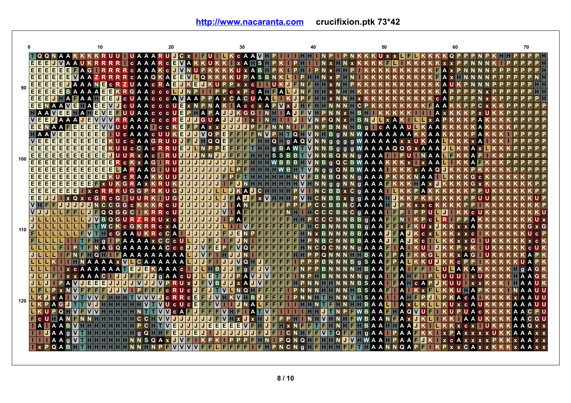**<http://www.nacaranta.com>crucifixion.ptk 73\*42**

|                                       |       |                                   |      |                 |              |    |              |          |     | 10  |          |        |   |               |     |                           |           |            |              |              | 20               |              |             |        |     |              |          |              |    |             |        | 30          |               |                  |              |              |              |                                                        |                |          |             | 40           |   |                 |                |    |              |                |    |                |                      |            | 50 |              |    |     |               |    |        |              |                | 60 |               |  |  |  |  | 70 |                   |  |
|---------------------------------------|-------|-----------------------------------|------|-----------------|--------------|----|--------------|----------|-----|-----|----------|--------|---|---------------|-----|---------------------------|-----------|------------|--------------|--------------|------------------|--------------|-------------|--------|-----|--------------|----------|--------------|----|-------------|--------|-------------|---------------|------------------|--------------|--------------|--------------|--------------------------------------------------------|----------------|----------|-------------|--------------|---|-----------------|----------------|----|--------------|----------------|----|----------------|----------------------|------------|----|--------------|----|-----|---------------|----|--------|--------------|----------------|----|---------------|--|--|--|--|----|-------------------|--|
|                                       |       | TQQNAAKKKKRUUTUAAARU              |      |                 |              |    |              |          |     |     |          |        |   |               |     |                           |           |            |              |              |                  | IJ           |             |        |     | $C \times$   |          | UIL          |    |             |        |             |               |                  |              |              |              | <b>KCAAVHPIIIHH</b>                                    |                |          |             |              |   |                 |                |    |              |                |    |                | <b>KKKUXXIII</b>     |            |    |              |    |     |               |    |        |              | KKQP           |    |               |  |  |  |  |    |                   |  |
|                                       |       | <b>E E E J</b>                    |      |                 |              |    | A A U        |          |     |     |          |        |   |               |     |                           |           | CAAARC     |              |              |                  | EVAKK        |             |        |     |              | U        |              |    |             |        |             | x A           |                  | l Si         |              | HP           |                                                        |                |          |             |              |   |                 |                |    |              |                |    |                |                      |            |    |              |    |     |               |    |        |              |                |    |               |  |  |  |  |    |                   |  |
|                                       |       | <b>EEEEEEE</b> FAGI               |      |                 |              |    |              |          |     |     |          |        |   |               | c   | A                         |           | A          |              |              | $\mathbf{c}$     | IJ           | $\mathbf v$ |        |     |              |          |              |    |             |        | u           |               | A                | B            |              |              |                                                        |                |          |             |              |   |                 |                |    |              |                |    |                |                      |            |    |              |    |     |               |    |        |              |                |    |               |  |  |  |  |    |                   |  |
|                                       |       | <b>EEEEEEWAA</b>                  |      |                 |              |    |              |          |     |     |          |        |   |               |     |                           |           |            | Q            |              | A                | E            | E V         |        |     | Q            |          |              |    |             |        |             |               | A                | s            | в            |              |                                                        |                |          |             |              |   |                 |                |    |              |                |    |                |                      |            |    |              |    |     |               |    |        |              |                |    |               |  |  |  |  |    |                   |  |
| $\circ$ $\frac{[158]^{2}}{[158]^{2}}$ |       |                                   |      | <b>EEJA</b>     |              |    |              |          |     |     | E        | c.     |   |               |     |                           |           |            | c.           |              |                  | Е            |             |        | E   |              |          |              |    |             |        |             | $\mathbf{x}$  | $\mathbf{c}$     |              |              |              |                                                        |                |          |             |              |   |                 |                |    |              |                |    |                |                      |            |    |              |    |     |               |    |        |              |                |    |               |  |  |  |  |    |                   |  |
|                                       |       |                                   |      |                 |              |    |              |          |     |     |          |        |   |               | G   |                           |           |            |              | c            | c                |              |             |        |     |              |          |              |    |             | c      |             |               |                  | A            |              |              | A                                                      |                |          |             |              |   |                 |                |    |              |                |    |                |                      |            |    |              |    |     |               |    |        |              |                |    |               |  |  |  |  |    |                   |  |
|                                       |       | EEE                               |      |                 |              | AF |              | A        |     |     | EIE      |        |   | <b>C</b>      |     |                           |           |            |              |              |                  |              |             | A      | A   |              |          | A            |    |             | c      | A           | c u           |                  | A            | A            |              |                                                        |                |          |             | F            |   |                 |                |    |              |                |    |                |                      |            |    |              |    |     |               |    |        |              |                |    |               |  |  |  |  |    |                   |  |
|                                       |       | <b>FFNAAVE</b>                    |      |                 |              |    |              | $\Box A$ |     | EIE |          | IV I J |   | l cl          | ш   |                           |           |            |              | c            | c.               | u            | E           |        | x N | P            |          | A            |    |             |        |             | Acc           |                  | $\mathbf{x}$ | А            | P            | $\mathbf v$                                            | $\mathbf{x}$   | J        |             |              |   |                 |                |    |              |                |    | C.             |                      |            |    |              |    |     |               |    |        | А            |                |    |               |  |  |  |  |    |                   |  |
|                                       |       | EI A                              |      | <b>VEEHA</b>    |              |    |              |          |     | IE. | IV E     |        |   |               |     | A                         |           |            | c.           | $\mathbf{c}$ | c.               |              | E           | P.     | н   | A            | P        | A            |    | JJ          |        |             | $K$ G G       |                  |              | N            | н            | т                                                      | A              | J        | F           | v            |   |                 |                |    |              |                |    | в              |                      |            |    |              |    |     |               |    |        |              |                |    |               |  |  |  |  |    |                   |  |
|                                       |       | <b>VEEJAAAJE</b>                  |      |                 |              |    |              |          |     |     | V V V    |        |   |               | A   |                           | A         |            | <b>C</b>     | c            | c                |              | Е           |        | JJ  |              | IG U A   |              | J  |             | J      | J           |               | $\mathbf{x}$     |              |              |              | <b>NHIL</b>                                            |                | J        |             | $\mathbf v$  |   |                 | ი              |    |              |                |    | в              | N                    | IJ         |    | $\mathbf{x}$ |    |     |               |    |        |              |                |    |               |  |  |  |  |    |                   |  |
|                                       |       | <b>FIEI</b> N                     |      | <b>A A FIE</b>  |              |    |              | E        | IE. |     |          |        |   | UA            |     | A                         |           |            |              | c            | c                |              | E           | F      | P   | A            |          | $x \times$   | J  |             | J      | J           |               | P                | F            | F            |              |                                                        |                |          |             |              |   |                 | B.             |    |              |                |    | в              | $\alpha$             |            |    |              |    |     | <b>CAAAUL</b> |    |        | A            |                |    |               |  |  |  |  |    |                   |  |
|                                       |       | $\blacksquare$ A                  |      | VE              |              | E  | E            |          |     |     |          |        |   |               |     |                           |           |            | $\mathbf{c}$ | U            | п                |              | EI          |        |     | <b>JJVQP</b> |          |              | E  |             | F      | F           |               |                  | N            | $\mathsf{v}$ | P            |                                                        |                | $\Omega$ | <b>HIV</b>  |              |   | $N$ $\parallel$ | в              | a  |              |                |    |                | <b>WAAAA</b>         |            |    |              |    |     |               |    |        | A            |                |    |               |  |  |  |  |    |                   |  |
|                                       |       | <b>VEE</b>                        |      | Ε               | ΙE           |    |              |          |     |     |          |        |   |               |     |                           |           |            |              |              |                  | ш            |             | IF.    | J   |              | I II Q Q |              |    | Е           | F      | F           | F             | F                |              | <b>HIH</b>   |              | $Q$ $H$ $q$ $A$ $Q$ $W$                                |                |          |             |              |   |                 |                |    |              | N N q q q q    |    |                | <b>WAAAA</b>         |            |    |              |    |     | <b>x</b> U    |    |        | A A          |                |    |               |  |  |  |  |    |                   |  |
|                                       |       | FEE                               |      | ΙE              | ΙE           | E  | Е            | Е        | Е   |     |          |        |   |               |     | c                         |           |            | $\mathbf{c}$ |              | $\mathbb{R}$     | U            | E           |        | IJĿ |              | P        | P            | E  |             | F      | F           | F             |                  |              |              |              | <b>g B A W T W N N B g g g W A A A A Q Q G x A A A</b> |                |          |             |              |   |                 |                |    |              |                |    |                |                      |            |    |              |    |     |               |    |        |              |                |    |               |  |  |  |  |    |                   |  |
| 100                                   | E E E |                                   |      |                 |              |    |              |          |     |     |          |        |   |               |     |                           |           |            |              |              |                  | п            | J           | IJ     | IJ  |              | N N      |              | ш  |             |        | E           |               |                  |              |              | <sub>S</sub> | <sub>S</sub>                                           | B              | R.       |             | $\mathbf v$  |   |                 |                |    |              |                |    |                | <b>NNBQNNgAAA</b>    |            |    |              |    |     |               |    |        | A            |                |    |               |  |  |  |  |    |                   |  |
|                                       |       |                                   |      | E               |              |    |              |          |     |     |          |        |   |               |     |                           |           |            | G            |              | R                | U            |             |        |     |              | ы        |              |    |             |        |             |               |                  |              |              |              | W B                                                    | B              | B        |             | $\mathsf{v}$ |   |                 |                |    |              |                |    |                | <b>NBGQCBWAAA</b>    |            |    |              |    |     | $\mathbf{x}$  |    | A      |              |                |    |               |  |  |  |  |    |                   |  |
|                                       |       | FFF                               |      | E               | E            | Е  |              |          |     |     | F.       | F.     |   | <b>ARAAGH</b> |     |                           |           |            |              |              | l u u            |              | IJ          | IJ     | IJ  | J            | J        | J            | J  |             |        | P           | F             |                  |              |              |              |                                                        | W <sub>B</sub> |          |             |              |   |                 |                |    |              |                |    |                | <b>HTVNggQNBWAAA</b> |            |    |              |    |     |               |    | A<br>A | <sup>o</sup> |                |    |               |  |  |  |  |    |                   |  |
|                                       | EE    |                                   |      |                 |              |    |              |          |     |     |          |        |   | ⊕             |     |                           |           |            |              |              | п                | ш            | J           | J      | J   | J            | J        | ы            |    |             | P      |             |               |                  |              |              |              |                                                        |                |          | $\mathbf v$ | F            |   |                 | <b>BNB</b>     |    |              |                |    |                | QNNgAAA              |            |    | P.           |    |     |               |    |        |              |                |    |               |  |  |  |  |    |                   |  |
|                                       |       | <b>FEE</b>                        |      |                 |              |    |              |          |     |     |          |        |   |               |     |                           |           |            |              |              | п                |              |             |        |     |              |          |              |    |             | F      | J           | N             |                  |              |              |              |                                                        |                |          | $\mathbf v$ | н            |   |                 | $\overline{a}$ | a  |              |                |    | $\mathbf{q}$   | A A A                |            |    | F.           |    |     |               |    |        |              |                |    |               |  |  |  |  |    |                   |  |
|                                       |       | FFF                               |      |                 | <b>EE</b>    |    |              |          |     |     |          |        |   |               |     | G G                       |           |            | R            |              | U                | G            | J.          |        |     |              |          |              | т. |             | J      |             | A             |                  | c            |              |              |                                                        |                |          | v           |              |   | $\mathbf{C}$    | B              | B. | $\mathbf{x}$ |                |    |                | CGAAA                |            |    |              |    |     |               |    |        |              |                |    |               |  |  |  |  |    |                   |  |
|                                       | EE    |                                   |      |                 |              |    | $\Omega$     | $x$ $c$  |     | G   |          |        | G |               |     | u                         | R         |            |              |              | п                | G            | J           | IJ     | IJ  | J            | IJ       | П            | IJ |             | F      | A           | J.            | F                | $\mathbf{x}$ | v            |              |                                                        |                |          | $\mathbf v$ |              | c |                 | в              | в  |              | x <sub>a</sub> |    | $\overline{a}$ | A A A                |            |    | IHI J I      |    |     |               |    |        |              |                |    |               |  |  |  |  |    |                   |  |
|                                       |       | <b>VHF</b>                        |      |                 | JIJ          |    | I J I J I J  |          |     |     |          | C      | G | G             | c.  |                           |           |            |              |              | c U              |              |             |        |     |              | J        | J            | J  |             |        | A           | N             |                  |              |              |              |                                                        |                |          |             |              |   |                 |                |    |              |                | C. | A              | А                    |            |    |              |    |     |               |    |        |              |                |    |               |  |  |  |  |    |                   |  |
|                                       |       | U U V                             |      |                 |              |    |              |          |     |     | $\Omega$ |        | G | G             |     | $\mathbf{C}$ $\mathbf{I}$ |           |            |              |              | c.               |              |             |        |     |              |          |              |    | $\mathbf v$ |        | A           |               |                  |              |              |              |                                                        |                |          |             |              |   |                 |                |    |              |                | c  | $\alpha$       | A                    |            |    |              |    |     |               |    |        |              |                |    |               |  |  |  |  |    |                   |  |
|                                       |       | JILIL                             |      |                 |              |    |              |          |     |     |          | ∙@     |   |               |     |                           |           | <b>RRU</b> |              |              |                  | $\mathbf{c}$ | J           |        |     |              | J        | J            |    |             | P      | A           | F             | F                |              |              |              |                                                        |                |          |             |              |   | C.              | C.             |    |              |                | в  |                | <b>B</b> a A A       |            |    | F.           |    |     |               |    |        |              |                |    |               |  |  |  |  |    |                   |  |
| 110                                   |       | JILIL                             |      |                 |              |    |              |          |     |     |          |        |   |               | G   |                           |           |            |              | $\bullet$    |                  | A            |             |        |     |              |          |              |    |             |        |             |               |                  |              |              |              |                                                        |                |          |             |              |   |                 |                |    |              |                | в  | в              | q                    | A A        |    |              |    |     |               |    |        |              |                |    |               |  |  |  |  |    | $x$ G             |  |
|                                       |       |                                   |      |                 |              |    |              |          |     |     |          |        | G |               |     | A U                       |           |            |              | $\mathbf{C}$ | C.               | A            |             |        |     |              |          |              |    | F           | J      | Е           |               |                  |              |              |              |                                                        |                |          |             |              |   |                 |                |    |              |                |    | в              | A                    | A          |    |              |    |     |               |    |        |              |                |    |               |  |  |  |  |    |                   |  |
|                                       |       |                                   |      |                 |              |    |              |          |     |     |          |        |   |               |     | A A                       |           | A          |              |              | $x$ C C          | c U          |             |        |     |              | F        |              |    | P           | F      | $\cdot$     |               |                  |              |              |              |                                                        |                |          |             |              |   |                 |                |    |              | в              |    | B              | Δ                    | A          |    |              |    | A   |               |    | c.     |              |                |    |               |  |  |  |  |    |                   |  |
|                                       |       |                                   |      |                 |              |    |              |          |     |     |          |        |   | G Q A         | A   |                           |           |            |              |              | ACCC             |              |             | J      |     |              |          | Е            |    |             | F      | $\mathbf v$ | O             |                  |              |              |              |                                                        |                |          |             |              |   | O               |                |    |              |                |    | $\mathbf{q}$   | A A A                | A A        |    | F            | D  |     | EI            |    |        |              |                |    |               |  |  |  |  |    | c U K             |  |
|                                       |       |                                   |      |                 |              |    |              |          |     |     |          |        |   |               |     |                           |           |            |              |              |                  | A            |             |        |     |              |          |              |    |             |        |             |               |                  |              |              |              |                                                        |                |          |             |              |   |                 |                |    |              |                |    |                | в                    |            |    |              |    |     |               |    |        | G.           |                |    |               |  |  |  |  |    |                   |  |
|                                       |       |                                   |      |                 |              |    |              |          |     |     |          | A      |   |               |     |                           | <b>JE</b> | $C$ A A A  |              |              | A                | A            |             |        |     |              |          |              |    |             |        | F           | ۵             |                  |              |              |              |                                                        |                |          |             |              |   |                 |                |    |              |                | в  | $\alpha$       | <sub>S</sub>         | A A        |    | F            |    |     |               |    | FI     |              |                |    |               |  |  |  |  |    |                   |  |
|                                       |       |                                   | JIFI |                 | $\mathbf{r}$ |    | $\mathbf{C}$ |          |     |     |          |        |   |               | IE. |                           |           | J          | IJ           | l a          | <b>KAAA</b><br>A | A            | c.          | c U    |     |              | Е        | в            |    | J           | J<br>J | P           | $\alpha$<br>A | F<br>$\mathbf v$ |              |              |              |                                                        |                |          |             |              |   |                 |                |    |              |                |    |                | $\alpha$             | A A<br>A A |    | FIF1         |    | A   | LIE.          |    |        |              |                |    |               |  |  |  |  |    | <b>G</b> K<br>G K |  |
|                                       |       |                                   |      |                 |              |    |              |          | IE. | E   | E        |        |   |               |     |                           | IJ        | IJ         |              | IV           | <b>PR</b>        |              | п           |        |     |              |          | в            |    |             |        |             | A             |                  |              |              |              |                                                        |                |          |             |              |   |                 |                |    |              |                |    |                | s                    | A          |    |              |    |     |               | c. |        |              |                |    |               |  |  |  |  |    |                   |  |
|                                       |       | lı i film                         |      | IP <sub>x</sub> |              |    |              |          |     |     |          |        |   |               |     |                           |           |            |              |              | c.               |              |             |        |     |              |          |              |    |             |        |             | Ω             |                  |              |              |              |                                                        |                |          |             |              |   |                 |                |    |              |                |    |                | s                    | A A        |    | F.           |    |     |               |    |        |              |                |    |               |  |  |  |  |    | <b>UU</b>         |  |
|                                       |       | $\blacksquare$ K $\blacksquare$ x |      |                 |              |    |              |          |     |     |          |        |   |               |     |                           |           |            |              | IJ           |                  |              |             | c      | E   |              |          | $\mathbf{v}$ |    |             |        | $\mathbf v$ |               | в                |              |              |              |                                                        |                |          |             |              |   |                 |                |    |              |                |    |                | s                    | A          |    |              |    |     |               |    |        |              |                |    |               |  |  |  |  |    | υu                |  |
| 120                                   |       | $I$ $K$ $P$                       |      | A G             |              |    |              |          |     |     |          |        |   |               |     |                           |           |            |              |              | ۰<br>u           | ∣c U         |             | c<br>c | Е   |              |          |              |    |             |        |             |               |                  |              |              |              |                                                        |                |          |             |              |   |                 |                |    |              |                |    |                |                      |            |    |              |    |     |               |    |        |              |                |    |               |  |  |  |  |    | UU.               |  |
|                                       |       |                                   |      | POH             |              |    |              |          |     |     |          |        |   |               |     |                           |           |            |              |              |                  |              |             |        |     |              | F        |              |    |             |        | F           |               | Δ                |              |              |              |                                                        |                |          |             |              |   |                 |                |    |              |                |    |                |                      |            |    | F.           |    | A   | $\Omega$      |    | F.     |              |                |    |               |  |  |  |  |    |                   |  |
|                                       |       | I cU                              |      |                 | A N          |    |              |          |     |     |          |        |   |               |     |                           |           | c          |              |              |                  |              |             |        |     |              |          |              |    |             |        |             | л             |                  |              |              |              |                                                        |                |          |             |              |   |                 |                |    |              |                |    |                |                      |            |    |              | F  |     |               |    |        |              |                |    |               |  |  |  |  |    | GU.               |  |
|                                       |       | I A I                             |      | <b>IAA</b>      |              |    |              |          |     |     |          |        |   |               |     |                           |           |            |              |              |                  | E            | J           |        |     |              | п        | E.           |    | E           | E      | E           |               |                  |              |              |              |                                                        |                |          |             |              |   |                 |                |    |              |                |    |                | B.                   | Δ          |    |              |    | A   |               |    |        |              |                |    | c.            |  |  |  |  | A  | $Q \times X$      |  |
|                                       |       |                                   |      | A A             |              |    |              |          |     |     |          |        |   |               |     | г                         |           | O          |              |              |                  | E            | J           | IJ     | Е   | J            |          |              |    |             |        |             |               |                  |              |              |              |                                                        | С              |          |             |              |   |                 |                | O  |              | F              | F. |                | $\alpha$             | A A        |    |              |    | A A |               |    |        |              |                |    |               |  |  |  |  |    |                   |  |
|                                       |       |                                   |      | A A             |              |    |              |          |     |     |          |        |   |               |     |                           |           | s.         | $\Omega$     | A            |                  |              | v           | F      |     |              | P        |              |    |             |        |             |               |                  |              |              |              |                                                        | Ω              |          | Ω           |              |   |                 |                |    |              | <b>NUV</b>     |    |                | <b>IWA</b>           |            | A  | н            | P. | А   |               | ЕI |        |              | $\mathbf{X}$ C |    | 小             |  |  |  |  |    |                   |  |
|                                       |       |                                   | POA  |                 |              |    |              |          |     |     |          |        |   |               |     |                           |           |            |              |              |                  |              | $V$ $V$     |        |     |              | F        |              | Е  |             | Е      |             |               |                  |              |              |              |                                                        | C.             |          |             |              |   |                 |                |    |              |                |    |                |                      |            |    | <b>NNOA</b>  |    |     |               | D  | F      |              |                |    | P x x C A x x |  |  |  |  |    | <b>x A A x x</b>  |  |
|                                       |       |                                   |      |                 |              |    |              |          |     |     |          |        |   |               |     |                           |           |            |              |              |                  |              |             |        |     |              |          |              |    |             |        |             |               |                  |              |              |              |                                                        |                |          |             |              |   |                 |                |    |              |                |    |                |                      |            |    |              |    |     |               |    |        |              |                |    |               |  |  |  |  |    |                   |  |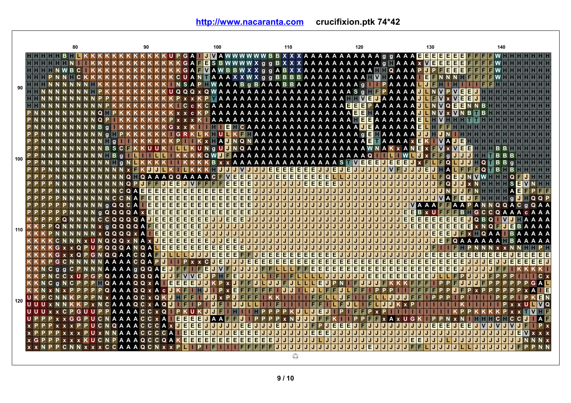|     | 80                                  |                                                                    | 100                                                                                                       | 110                                             | 120                                            | 130                                                                                      | 140                             |
|-----|-------------------------------------|--------------------------------------------------------------------|-----------------------------------------------------------------------------------------------------------|-------------------------------------------------|------------------------------------------------|------------------------------------------------------------------------------------------|---------------------------------|
|     | HHHHHBHL                            |                                                                    | PGA IVAWWWWWBBXXXAAAAAAAAAAAqqAAAEEEEEEE                                                                  |                                                 |                                                |                                                                                          | FFFWH                           |
|     |                                     |                                                                    |                                                                                                           |                                                 |                                                | IE.<br>Е<br>Е<br>Е                                                                       |                                 |
|     |                                     |                                                                    | GAFWAWBBWXXggABXXAAAAAAAAAAAFTQAAAPUPF<br>CUANTAAAXXWX g g B B B B A A A A A A A A A H <b>M H</b> A A A A |                                                 |                                                | E<br>E<br>E<br>E                                                                         |                                 |
|     |                                     |                                                                    | NSAPEWAAAB g B A A A B B A A A A A A A A A g                                                              |                                                 | <b>TPAAAA</b>                                  |                                                                                          |                                 |
| 90  |                                     |                                                                    |                                                                                                           |                                                 |                                                | IJ                                                                                       |                                 |
|     |                                     |                                                                    |                                                                                                           |                                                 |                                                | E<br>JL<br>E                                                                             |                                 |
|     |                                     |                                                                    |                                                                                                           |                                                 |                                                | N V<br>E<br>IE.<br>IJ<br>Q                                                               | в                               |
|     | $\Omega$                            |                                                                    |                                                                                                           |                                                 |                                                | $\mathbf v$                                                                              |                                 |
|     | $Q$ $P$                             |                                                                    | K AAAAAAAAAAAAAAAAAAA HEEAAAAAA                                                                           |                                                 |                                                | E                                                                                        |                                 |
|     | <b>PNNNNNNNNBa</b>                  | $G \times x$                                                       | <b>THE E</b> E CA A A A A A A A A A A A A A A A A <mark>J E</mark> A A A A A A                            |                                                 |                                                | Е                                                                                        |                                 |
|     |                                     | G <sub>R</sub>                                                     | KLKHULKFHAAAAAAAAAAAAAAA gEHAAAAA                                                                         |                                                 |                                                |                                                                                          |                                 |
|     | PPNNN                               | $\mathbf{q}$                                                       | <b>TEKXHADNQNAAAAAAAAAAAAAAAAETAAAA</b>                                                                   |                                                 |                                                | E<br>$\mathbf v$<br>A<br>F                                                               |                                 |
|     | <b>NNNBSCH</b>                      |                                                                    | LIKUNGUDNQAAAAAAAAAAAAAAAAAWNAKxAN                                                                        |                                                 |                                                | $\mathbf v$<br>E<br>F<br>$\mathbf v$<br>E<br>E<br>$\mathbf{x}$                           |                                 |
| 100 |                                     | $\alpha$                                                           | KKQWOFAAAAAAAAAAAAAAAAAAAQ                                                                                |                                                 |                                                | $\alpha$                                                                                 |                                 |
|     | PPN                                 | ITI a                                                              | K K K K B x x A A A A A A A A A A A A A S T <mark>W E E E J E E</mark>                                    |                                                 |                                                | IE.<br>1 F<br><b>JI</b> x F<br>۵                                                         |                                 |
|     |                                     |                                                                    | <b>KHJJJVJI</b>                                                                                           | <u>IJJEEEEEEEJJJEJE</u>                         | J/J/J/J<br><b>VF</b>                           | IJ<br>IE.<br>IJ<br>J.<br>IJ                                                              | O                               |
|     |                                     |                                                                    | AQQAAAACF <b>MEEE</b><br>J.<br>EEE                                                                        | E<br>EEEE<br>JJE<br>E<br>JJ E                   | $L L L J J J J J J J J$<br>IJ                  | Е<br>IJ<br>IJ<br>IJ<br>J.<br>IJ<br>O                                                     |                                 |
|     |                                     | E<br>El<br><b>NNNNNCOA</b><br>E<br>E<br>E<br>E<br>E<br>E<br>E<br>E | lE.<br>JJJJ<br><b>EE</b><br>E<br>$\mathbf{J}$                                                             | IJIJ<br>$\mathbf{J}$<br>J<br>J.<br>J.<br>atat   | $E E E E J J J J J J J J J J J$<br>JJJJJ<br>IJ | JE<br>IJ<br>IJ<br>$\Omega$<br>JU<br>IJ<br>IJ<br>ا دا ادا<br>ыl<br>$\mathbf{J}$<br>N<br>J |                                 |
|     | NNNNCCN                             | E<br>E<br>E<br>E                                                   | E<br>E                                                                                                    | J J J J J J J J J J                             | U U U U U U<br>IJ                              | J J <br> J J J <br>IJ<br>Iv<br>IE.<br>A FI                                               | <b>QQP</b>                      |
|     | N <sub>N</sub> a                    | E<br>QQCA<br>E<br>E<br>E                                           | E<br>EE<br>IJIJ                                                                                           | $\mathbf{J}$<br>J.                              | ULLULLULLULLULLULLULLU                         | $\overline{\mathsf{v}}$<br>A A A<br>F<br>IJ<br>IJ<br>A A                                 | $\circ$ $\circ$<br>$C_{\alpha}$ |
|     |                                     | NNNgQQQQAxE<br>E.<br>E<br>E                                        | ΙE<br>IE.<br>E<br>$\mathbf{J}$<br>J                                                                       | J.<br>a.<br>J.<br>J.<br>лI<br>JIJI              | JJJJJ                                          | $\overline{\mathbf{J}}$ de $\mathbf{s}$ v $\mathbf{u}$<br>B.                             | GCCOAA                          |
|     |                                     | NCCQQQQAN<br>E<br>E<br>E                                           | ΙE<br>EE<br>JJ                                                                                            | $\mathbf{J}$<br>L L L<br>J.                     | <u>JULIULIULIULIU</u>                          | <b>IEIEIEIEIE</b><br>JJE<br>E<br>E<br>E                                                  | JQBQ I <b>MJ</b> HAAAA          |
|     | x <sub>a</sub>                      | QQQQAFF<br>E<br>E<br>El<br>E                                       | JJ<br>J                                                                                                   | J<br>L L L<br>J<br>IJ                           | <u>LIJIJIJIJIJIJIJ</u>                         | <b>IEIEIEI</b><br>Έ<br>Έ<br>E<br>E<br><b>TE E</b><br>IJ<br>IJ                            | <b>NQFINE BAA</b>               |
| 110 |                                     | <b>xQQQQXA</b><br><b>EE</b><br>E<br>E<br>E<br>E                    | J<br>IJ                                                                                                   | л<br>¢<br>$\mathbf{J}$<br>a.<br>J.<br>J.        | J J L L L L L L L L L<br>IJ                    | E<br>E<br>E<br>  J   J<br>IJ                                                             | $Q$ A A<br><b>IIBAAA</b>        |
|     |                                     | N x U N Q Q Q x N A x N E<br>E.<br>E<br>F<br>E                     | F.<br>lE.<br>E                                                                                            | J                                               | J   J   J   J   J<br>IJ                        | IJ<br>O                                                                                  |                                 |
|     | KGxx                                | QPUPQQQANQALEE<br>EE<br>EI                                         | Е<br>IE.<br>IE.<br>IE                                                                                     |                                                 | JJJJJ                                          |                                                                                          |                                 |
|     |                                     | QPGNQQAACQAFFILITI                                                 | IE.<br>FF<br>E.<br>IE.<br>E<br>IE.<br>J                                                                   | Ε<br>Ε<br>П<br>E<br>E<br>E<br>E<br>E.<br>E      | E                                              | Е<br>Е<br>Е<br>Е<br>E.<br>E.<br>Е                                                        | E<br>Е<br>EI<br>E<br>E<br>E E   |
|     | <b>KKKPGCNNNNNAAAACQA</b>           | $P$ J<br>P.                                                        | IJ EI<br>EE<br>$\mathbf{C}$                                                                               | E<br>E<br>E<br>E<br>E<br>E<br>E<br>EI<br>El     | EE<br>EI<br>FI<br><b>FIF</b><br>E              | E<br>E<br>E<br>E<br>E<br>E<br>Е<br>E                                                     |                                 |
|     | KKNCggCPNNNAAAAgQQAE                | JFI<br>F                                                           | <b>EJV</b><br><b>FF</b>                                                                                   | E<br>E<br>E<br>F<br>F                           | E<br>E<br>E<br>E.<br>E<br>Е                    | E<br>E<br>E<br>E<br>E<br>E<br>E                                                          |                                 |
|     | KPNCC x U P G P Q A A A Q Q Q A U U | F V V E                                                            | <b>EJJJ</b><br>J                                                                                          | F                                               | IE.<br>E<br>IE.                                | E E E<br>E<br>Е<br>E                                                                     |                                 |
|     | K K N C g N C P P P H Q A A A Q Q x | T E<br>E<br>EI<br>E<br>A                                           | JILJ                                                                                                      | IL EI<br>JE<br>JIL<br>$\mathbf{J}$              | P.                                             |                                                                                          |                                 |
|     | <b>KKN xN</b>                       | <b>PQAAAQQxAcMKFIII</b>                                            | FFFIL<br>IE.<br>FF                                                                                        | J.<br>$\mathbf{U}$<br>J                         | FEJLFEI                                        |                                                                                          | IE.                             |
| 120 | UKP                                 | <b>AAQCXQ</b><br>KJHFFIJJJx                                        | F<br>IFIF                                                                                                 |                                                 |                                                |                                                                                          | 6 N                             |
|     | UUUx                                | CXAQI<br>A A A Q                                                   | IJ<br>IJIL                                                                                                | F                                               |                                                |                                                                                          | <b>VQ</b>                       |
|     | UUUxxCPGUUPPAAAACCxQ                | <b>IPKUK</b>                                                       | P                                                                                                         | E                                               |                                                |                                                                                          |                                 |
|     |                                     | <b>GGPUCNAAAACCXA</b><br>TEEE                                      | E<br>J A<br>IJ                                                                                            |                                                 |                                                | $x$ U<br>G                                                                               | <b>AF</b>                       |
|     |                                     | <b>PUCNQAAACCCAXIE</b><br>E                                        | E<br>JJJJJJJ<br>IE.                                                                                       | E<br>J.<br>J.<br>F<br>IJ.<br>$\mathbf{U}$<br>PШ | EI<br>E<br>EI<br>JJJJ                          | Е<br>E<br>E.                                                                             | P X                             |
|     |                                     | <b>x P P P P x x x P U x N N A A A C C C C A EEEE</b>              | FIEIEIE<br>J.                                                                                             | <b>EEE</b><br>J.<br>J.<br>J.<br>IJ              | υI<br>  J   J   J                              |                                                                                          | JIE.                            |
|     |                                     | <b>x G P P P x x x K U C N P A A A Q C C Q A K E E E E E</b>       | <b>EEEEEEE</b><br>IE.                                                                                     | J.<br>IJ<br>IJ.<br>UU.                          | J L J J J J J J J J J                          | E<br>Е                                                                                   |                                 |
|     |                                     | <b>PCNNxxxCCAAAQCNxx</b>                                           |                                                                                                           | $\mathbf{I}$<br>E                               |                                                |                                                                                          |                                 |
|     |                                     |                                                                    |                                                                                                           | ♤                                               |                                                |                                                                                          |                                 |